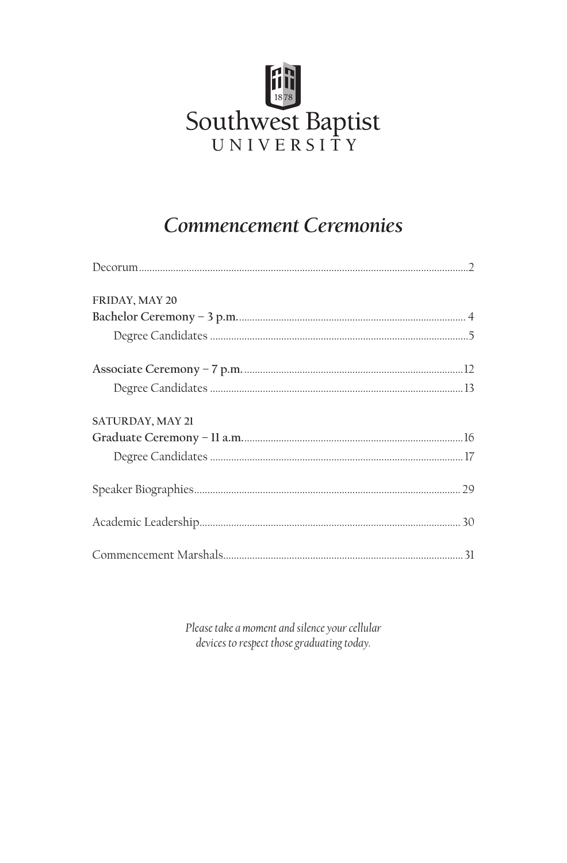

## **Commencement Ceremonies**

| FRIDAY, MAY 20   |
|------------------|
|                  |
|                  |
|                  |
|                  |
| SATURDAY, MAY 21 |
|                  |
|                  |
|                  |
|                  |
|                  |

Please take a moment and silence your cellular devices to respect those graduating today.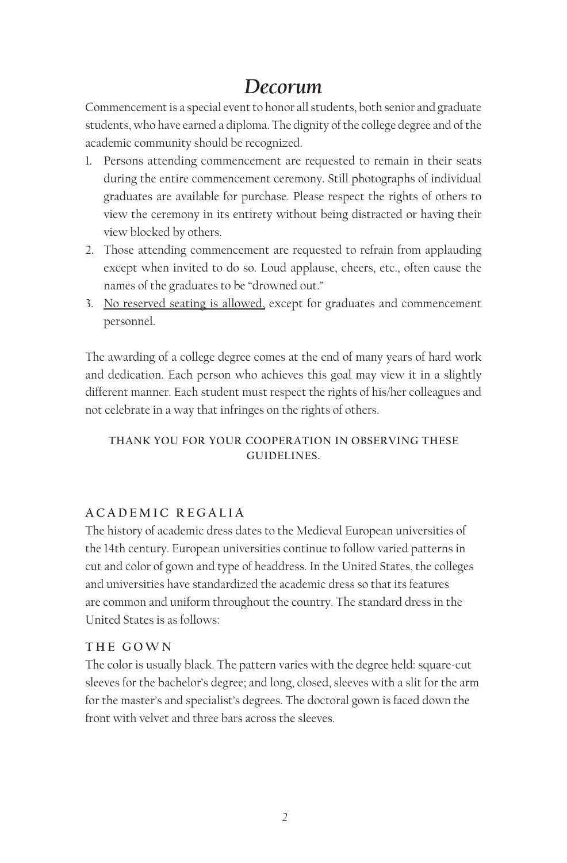## *Decorum*

Commencement is a special event to honor all students, both senior and graduate students, who have earned a diploma. The dignity of the college degree and of the academic community should be recognized.

- 1. Persons attending commencement are requested to remain in their seats during the entire commencement ceremony. Still photographs of individual graduates are available for purchase. Please respect the rights of others to view the ceremony in its entirety without being distracted or having their view blocked by others.
- 2. Those attending commencement are requested to refrain from applauding except when invited to do so. Loud applause, cheers, etc., often cause the names of the graduates to be "drowned out."
- 3. No reserved seating is allowed, except for graduates and commencement personnel.

The awarding of a college degree comes at the end of many years of hard work and dedication. Each person who achieves this goal may view it in a slightly different manner. Each student must respect the rights of his/her colleagues and not celebrate in a way that infringes on the rights of others.

#### **THANK YOU FOR YOUR COOPERATION IN OBSERVING THESE GUIDELINES.**

### **ACADEMIC REGALIA**

The history of academic dress dates to the Medieval European universities of the 14th century. European universities continue to follow varied patterns in cut and color of gown and type of headdress. In the United States, the colleges and universities have standardized the academic dress so that its features are common and uniform throughout the country. The standard dress in the United States is as follows:

#### **THE GOWN**

The color is usually black. The pattern varies with the degree held: square-cut sleeves for the bachelor's degree; and long, closed, sleeves with a slit for the arm for the master's and specialist's degrees. The doctoral gown is faced down the front with velvet and three bars across the sleeves.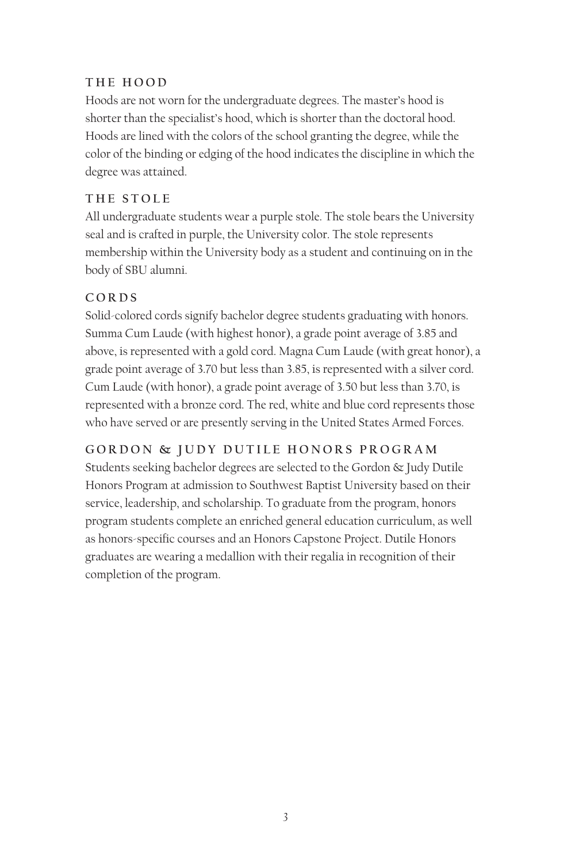### **THE HOOD**

Hoods are not worn for the undergraduate degrees. The master's hood is shorter than the specialist's hood, which is shorter than the doctoral hood. Hoods are lined with the colors of the school granting the degree, while the color of the binding or edging of the hood indicates the discipline in which the degree was attained.

### **THE STOLE**

All undergraduate students wear a purple stole. The stole bears the University seal and is crafted in purple, the University color. The stole represents membership within the University body as a student and continuing on in the body of SBU alumni.

### **CORDS**

Solid-colored cords signify bachelor degree students graduating with honors. Summa Cum Laude (with highest honor), a grade point average of 3.85 and above, is represented with a gold cord. Magna Cum Laude (with great honor), a grade point average of 3.70 but less than 3.85, is represented with a silver cord. Cum Laude (with honor), a grade point average of 3.50 but less than 3.70, is represented with a bronze cord. The red, white and blue cord represents those who have served or are presently serving in the United States Armed Forces.

### **GORDON & JUDY DUTILE HONORS PROGRAM**

Students seeking bachelor degrees are selected to the Gordon & Judy Dutile Honors Program at admission to Southwest Baptist University based on their service, leadership, and scholarship. To graduate from the program, honors program students complete an enriched general education curriculum, as well as honors-specific courses and an Honors Capstone Project. Dutile Honors graduates are wearing a medallion with their regalia in recognition of their completion of the program.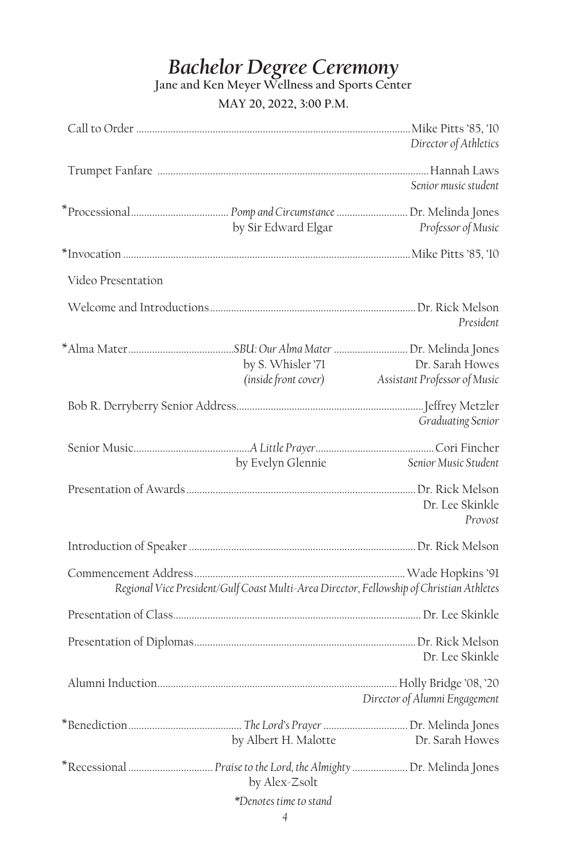# *Bachelor Degree Ceremony*

**Jane and Ken Meyer Wellness and Sports Center**

### **MAY 20, 2022, 3:00 P.M.**

|                    |                        | Director of Athletics                                                                    |
|--------------------|------------------------|------------------------------------------------------------------------------------------|
|                    |                        | Senior music student                                                                     |
|                    | by Sir Edward Elgar    | Professor of Music                                                                       |
|                    |                        |                                                                                          |
| Video Presentation |                        |                                                                                          |
|                    |                        | President                                                                                |
|                    | by S. Whisler '71      | Dr. Sarah Howes<br>(inside front cover) Assistant Professor of Music                     |
|                    |                        | Graduating Senior                                                                        |
|                    | by Evelyn Glennie      | Senior Music Student                                                                     |
|                    |                        | Dr. Lee Skinkle<br>Provost                                                               |
|                    |                        |                                                                                          |
|                    |                        | Regional Vice President/Gulf Coast Multi-Area Director, Fellowship of Christian Athletes |
|                    |                        |                                                                                          |
|                    |                        | Dr. Lee Skinkle                                                                          |
|                    |                        | Director of Alumni Engagement                                                            |
|                    | by Albert H. Malotte   | Dr. Sarah Howes                                                                          |
|                    | by Alex-Zsolt          |                                                                                          |
|                    | *Denotes time to stand |                                                                                          |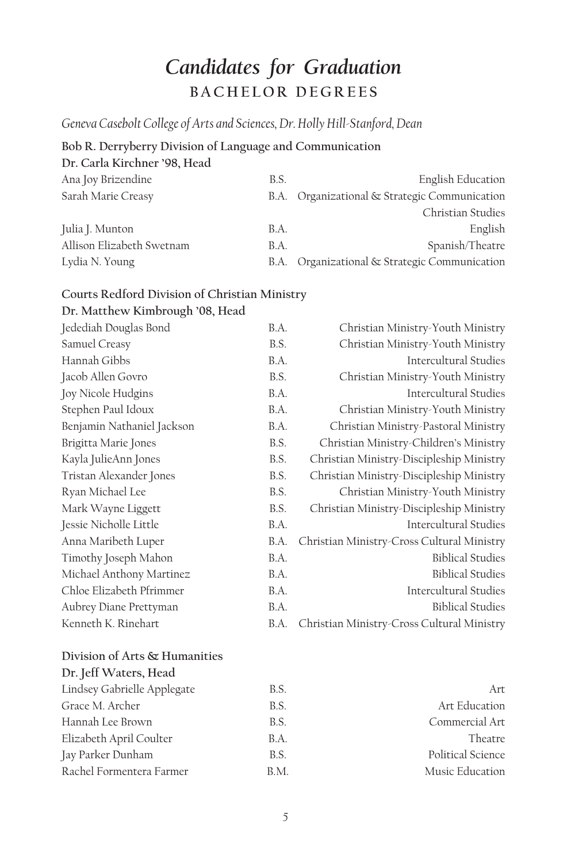# *Candidates for Graduation* **BACHELOR DEGREES**

*Geneva Casebolt College of Arts and Sciences, Dr. Holly Hill-Stanford, Dean*

### **Bob R. Derryberry Division of Language and Communication**

**Dr. Carla Kirchner '98, Head**

| Ana Joy Brizendine        | B.S. | <b>English Education</b>                      |
|---------------------------|------|-----------------------------------------------|
| Sarah Marie Creasy        |      | B.A. Organizational & Strategic Communication |
|                           |      | Christian Studies                             |
| Julia J. Munton           | B.A. | English                                       |
| Allison Elizabeth Swetnam | B.A. | Spanish/Theatre                               |
| Lydia N. Young            | B.A. | Organizational & Strategic Communication      |

### **Courts Redford Division of Christian Ministry**

**Dr. Matthew Kimbrough '08, Head**

| Jedediah Douglas Bond      | B.A. | Christian Ministry-Youth Ministry          |
|----------------------------|------|--------------------------------------------|
| Samuel Creasy              | B.S. | Christian Ministry-Youth Ministry          |
| Hannah Gibbs               | B.A. | <b>Intercultural Studies</b>               |
| Jacob Allen Govro          | B.S. | Christian Ministry-Youth Ministry          |
| Joy Nicole Hudgins         | B.A. | <b>Intercultural Studies</b>               |
| Stephen Paul Idoux         | B.A. | Christian Ministry-Youth Ministry          |
| Benjamin Nathaniel Jackson | B.A. | Christian Ministry-Pastoral Ministry       |
| Brigitta Marie Jones       | B.S. | Christian Ministry-Children's Ministry     |
| Kayla JulieAnn Jones       | B.S. | Christian Ministry-Discipleship Ministry   |
| Tristan Alexander Jones    | B.S. | Christian Ministry-Discipleship Ministry   |
| Ryan Michael Lee           | B.S. | Christian Ministry-Youth Ministry          |
| Mark Wayne Liggett         | B.S. | Christian Ministry-Discipleship Ministry   |
| Jessie Nicholle Little     | B.A. | Intercultural Studies                      |
| Anna Maribeth Luper        | B.A. | Christian Ministry-Cross Cultural Ministry |
| Timothy Joseph Mahon       | B.A. | <b>Biblical Studies</b>                    |
| Michael Anthony Martinez   | B.A. | <b>Biblical Studies</b>                    |
| Chloe Elizabeth Pfrimmer   | B.A. | <b>Intercultural Studies</b>               |
| Aubrey Diane Prettyman     | B.A. | <b>Biblical Studies</b>                    |
| Kenneth K. Rinehart        | B.A. | Christian Ministry-Cross Cultural Ministry |
|                            |      |                                            |

#### **Division of Arts & Humanities**

| Dr. Jeff Waters, Head       |  |
|-----------------------------|--|
| Lindsey Gabrielle Applegate |  |
| Grace M. Archer             |  |
| Hannah Lee Brown            |  |
| Elizabeth April Coulter     |  |
| Jay Parker Dunham           |  |
| Rachel Formentera Farmer    |  |

| Lindsey Gabrielle Applegate | B.S. | Art               |
|-----------------------------|------|-------------------|
| Grace M. Archer             | B.S. | Art Education     |
| Hannah Lee Brown            | B.S. | Commercial Art    |
| Elizabeth April Coulter     | B.A. | Theatre           |
| Jay Parker Dunham           | B.S. | Political Science |
| Rachel Formentera Farmer    | B.M. | Music Education   |
|                             |      |                   |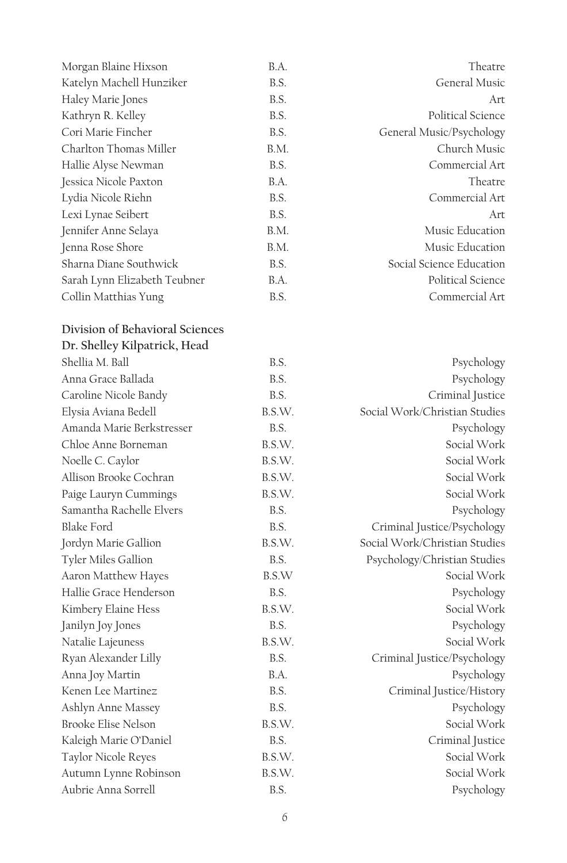| Morgan Blaine Hixson         | B.A. | Theatre                  |
|------------------------------|------|--------------------------|
| Katelyn Machell Hunziker     | B.S. | General Music            |
| Haley Marie Jones            | B.S. | Art                      |
| Kathryn R. Kelley            | B.S. | Political Science        |
| Cori Marie Fincher           | B.S. | General Music/Psychology |
| Charlton Thomas Miller       | B.M. | Church Music             |
| Hallie Alyse Newman          | B.S. | Commercial Art           |
| Jessica Nicole Paxton        | B.A. | Theatre                  |
| Lydia Nicole Riehn           | B.S. | Commercial Art           |
| Lexi Lynae Seibert           | B.S. | Art                      |
| Jennifer Anne Selaya         | B.M. | Music Education          |
| Jenna Rose Shore             | B.M. | Music Education          |
| Sharna Diane Southwick       | B.S. | Social Science Education |
| Sarah Lynn Elizabeth Teubner | B.A. | Political Science        |
| Collin Matthias Yung         | B.S. | Commercial Art           |

## **Division of Behavioral Sciences Dr. Shelley Kilpatrick, Head**

| Shellia M. Ball            | B.S.   | Psychology                    |
|----------------------------|--------|-------------------------------|
| Anna Grace Ballada         | B.S.   | Psychology                    |
| Caroline Nicole Bandy      | B.S.   | Criminal Justice              |
| Elysia Aviana Bedell       | B.S.W. | Social Work/Christian Studies |
| Amanda Marie Berkstresser  | B.S.   | Psychology                    |
| Chloe Anne Borneman        | B.S.W. | Social Work                   |
| Noelle C. Caylor           | B.S.W. | Social Work                   |
| Allison Brooke Cochran     | B.S.W. | Social Work                   |
| Paige Lauryn Cummings      | B.S.W. | Social Work                   |
| Samantha Rachelle Elvers   | B.S.   | Psychology                    |
| <b>Blake Ford</b>          | B.S.   | Criminal Justice/Psychology   |
| Jordyn Marie Gallion       | B.S.W. | Social Work/Christian Studies |
| Tyler Miles Gallion        | B.S.   | Psychology/Christian Studies  |
| Aaron Matthew Hayes        | B.S.W  | Social Work                   |
| Hallie Grace Henderson     | B.S.   | Psychology                    |
| Kimbery Elaine Hess        | B.S.W. | Social Work                   |
| Janilyn Joy Jones          | B.S.   | Psychology                    |
| Natalie Lajeuness          | B.S.W. | Social Work                   |
| Ryan Alexander Lilly       | B.S.   | Criminal Justice/Psychology   |
| Anna Joy Martin            | B.A.   | Psychology                    |
| Kenen Lee Martinez         | B.S.   | Criminal Justice/History      |
| Ashlyn Anne Massey         | B.S.   | Psychology                    |
| <b>Brooke Elise Nelson</b> | B.S.W. | Social Work                   |
| Kaleigh Marie O'Daniel     | B.S.   | Criminal Justice              |
| Taylor Nicole Reyes        | B.S.W. | Social Work                   |
| Autumn Lynne Robinson      | B.S.W. | Social Work                   |
| Aubrie Anna Sorrell        | B.S.   | Psychology                    |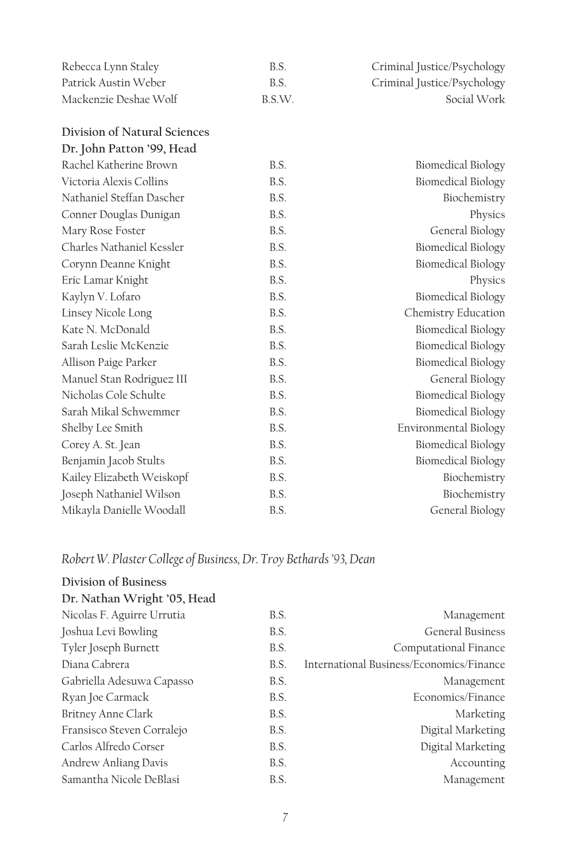| Rebecca Lynn Staley          | B.S.   | Criminal Justice/Psychology |
|------------------------------|--------|-----------------------------|
| Patrick Austin Weber         | B.S.   | Criminal Justice/Psychology |
| Mackenzie Deshae Wolf        | B.S.W. | Social Work                 |
| Division of Natural Sciences |        |                             |
| Dr. John Patton '99, Head    |        |                             |
| Rachel Katherine Brown       | B.S.   | Biomedical Biology          |
| Victoria Alexis Collins      | B.S.   | <b>Biomedical Biology</b>   |
| Nathaniel Steffan Dascher    | B.S.   | Biochemistry                |
| Conner Douglas Dunigan       | B.S.   | Physics                     |
| Mary Rose Foster             | B.S.   | General Biology             |
| Charles Nathaniel Kessler    | B.S.   | <b>Biomedical Biology</b>   |
| Corynn Deanne Knight         | B.S.   | <b>Biomedical Biology</b>   |
| Eric Lamar Knight            | B.S.   | Physics                     |
| Kaylyn V. Lofaro             | B.S.   | <b>Biomedical Biology</b>   |
| Linsey Nicole Long           | B.S.   | Chemistry Education         |
| Kate N. McDonald             | B.S.   | <b>Biomedical Biology</b>   |
| Sarah Leslie McKenzie        | B.S.   | <b>Biomedical Biology</b>   |
| Allison Paige Parker         | B.S.   | Biomedical Biology          |
| Manuel Stan Rodriguez III    | B.S.   | General Biology             |
| Nicholas Cole Schulte        | B.S.   | <b>Biomedical Biology</b>   |
| Sarah Mikal Schwemmer        | B.S.   | <b>Biomedical Biology</b>   |
| Shelby Lee Smith             | B.S.   | Environmental Biology       |
| Corey A. St. Jean            | B.S.   | Biomedical Biology          |
| Benjamin Jacob Stults        | B.S.   | <b>Biomedical Biology</b>   |
| Kailey Elizabeth Weiskopf    | B.S.   | Biochemistry                |
| Joseph Nathaniel Wilson      | B.S.   | Biochemistry                |
| Mikayla Danielle Woodall     | B.S.   | General Biology             |

## *Robert W. Plaster College of Business, Dr. Troy Bethards '93, Dean*

| Division of Business        |      |                                          |
|-----------------------------|------|------------------------------------------|
| Dr. Nathan Wright '05, Head |      |                                          |
| Nicolas F. Aguirre Urrutia  | B.S. | Management                               |
| Joshua Levi Bowling         | B.S. | <b>General Business</b>                  |
| Tyler Joseph Burnett        | B.S. | Computational Finance                    |
| Diana Cabrera               | B.S. | International Business/Economics/Finance |
| Gabriella Adesuwa Capasso   | B.S. | Management                               |
| Ryan Joe Carmack            | B.S. | Economics/Finance                        |
| <b>Britney Anne Clark</b>   | B.S. | Marketing                                |
| Fransisco Steven Corralejo  | B.S. | Digital Marketing                        |
| Carlos Alfredo Corser       | B.S. | Digital Marketing                        |
| Andrew Anliang Davis        | B.S. | Accounting                               |
| Samantha Nicole DeBlasi     | B.S. | Management                               |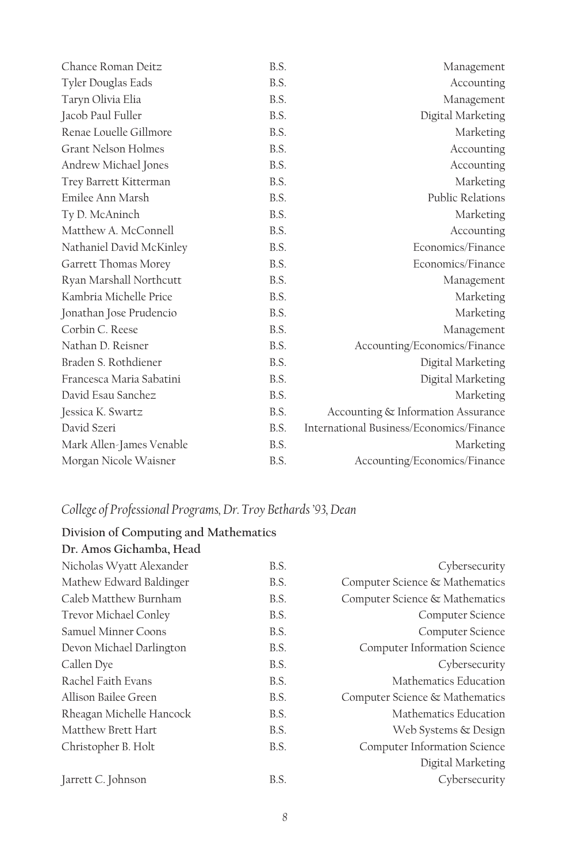| Chance Roman Deitz       | B.S. | Management                               |
|--------------------------|------|------------------------------------------|
| Tyler Douglas Eads       | B.S. | Accounting                               |
| Taryn Olivia Elia        | B.S. | Management                               |
| Jacob Paul Fuller        | B.S. | Digital Marketing                        |
| Renae Louelle Gillmore   | B.S. | Marketing                                |
| Grant Nelson Holmes      | B.S. | Accounting                               |
| Andrew Michael Jones     | B.S. | Accounting                               |
| Trey Barrett Kitterman   | B.S. | Marketing                                |
| Emilee Ann Marsh         | B.S. | Public Relations                         |
| Ty D. McAninch           | B.S. | Marketing                                |
| Matthew A. McConnell     | B.S. | Accounting                               |
| Nathaniel David McKinley | B.S. | Economics/Finance                        |
| Garrett Thomas Morey     | B.S. | Economics/Finance                        |
| Ryan Marshall Northcutt  | B.S. | Management                               |
| Kambria Michelle Price   | B.S. | Marketing                                |
| Jonathan Jose Prudencio  | B.S. | Marketing                                |
| Corbin C. Reese          | B.S. | Management                               |
| Nathan D. Reisner        | B.S. | Accounting/Economics/Finance             |
| Braden S. Rothdiener     | B.S. | Digital Marketing                        |
| Francesca Maria Sabatini | B.S. | Digital Marketing                        |
| David Esau Sanchez       | B.S. | Marketing                                |
| Jessica K. Swartz        | B.S. | Accounting & Information Assurance       |
| David Szeri              | B.S. | International Business/Economics/Finance |
| Mark Allen-James Venable | B.S. | Marketing                                |
| Morgan Nicole Waisner    | B.S. | Accounting/Economics/Finance             |

## *College of Professional Programs, Dr. Troy Bethards '93, Dean*

#### **Division of Computing and Mathematics Dr. Amos Gichamba, Head**

| Nicholas Wyatt Alexander | B.S. | Cybersecurity                  |
|--------------------------|------|--------------------------------|
| Mathew Edward Baldinger  | B.S. | Computer Science & Mathematics |
| Caleb Matthew Burnham    | B.S. | Computer Science & Mathematics |
| Trevor Michael Conley    | B.S. | Computer Science               |
| Samuel Minner Coons      | B.S. | Computer Science               |
| Devon Michael Darlington | B.S. | Computer Information Science   |
| Callen Dye               | B.S. | Cybersecurity                  |
| Rachel Faith Evans       | B.S. | Mathematics Education          |
| Allison Bailee Green     | B.S. | Computer Science & Mathematics |
| Rheagan Michelle Hancock | B.S. | Mathematics Education          |
| Matthew Brett Hart       | B.S. | Web Systems & Design           |
| Christopher B. Holt      | B.S. | Computer Information Science   |
|                          |      | Digital Marketing              |
| Jarrett C. Johnson       | B.S. | Cybersecurity                  |
|                          |      |                                |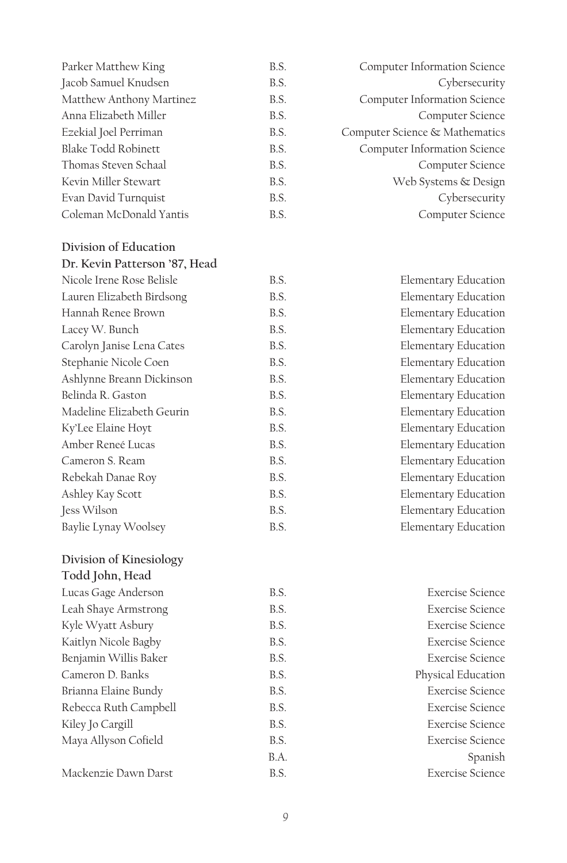| Parker Matthew King      | B.S. | Computer Information Science   |
|--------------------------|------|--------------------------------|
| Jacob Samuel Knudsen     | B.S. | Cybersecurity                  |
| Matthew Anthony Martinez | B.S. | Computer Information Science   |
| Anna Elizabeth Miller    | B.S. | Computer Science               |
| Ezekial Joel Perriman    | B.S. | Computer Science & Mathematics |
| Blake Todd Robinett      | B.S. | Computer Information Science   |
| Thomas Steven Schaal     | B.S. | Computer Science               |
| Kevin Miller Stewart     | B.S. | Web Systems & Design           |
| Evan David Turnquist     | B.S. | Cybersecurity                  |
| Coleman McDonald Yantis  | B.S. | Computer Science               |
|                          |      |                                |

**Division of Education**

| Dr. Kevin Patterson '87, Head |      |                             |
|-------------------------------|------|-----------------------------|
| Nicole Irene Rose Belisle     | B.S. | Elementary Education        |
| Lauren Elizabeth Birdsong     | B.S. | Elementary Education        |
| Hannah Renee Brown            | B.S. | <b>Elementary Education</b> |
| Lacey W. Bunch                | B.S. | <b>Elementary Education</b> |
| Carolyn Janise Lena Cates     | B.S. | <b>Elementary Education</b> |
| Stephanie Nicole Coen         | B.S. | Elementary Education        |
| Ashlynne Breann Dickinson     | B.S. | Elementary Education        |
| Belinda R. Gaston             | B.S. | <b>Elementary Education</b> |
| Madeline Elizabeth Geurin     | B.S. | <b>Elementary Education</b> |
| Ky'Lee Elaine Hoyt            | B.S. | <b>Elementary Education</b> |
| Amber Reneé Lucas             | B.S. | <b>Elementary Education</b> |
| Cameron S. Ream               | B.S. | Elementary Education        |
| Rebekah Danae Roy             | B.S. | <b>Elementary Education</b> |
| Ashley Kay Scott              | B.S. | <b>Elementary Education</b> |
| Jess Wilson                   | B.S. | <b>Elementary Education</b> |
| Baylie Lynay Woolsey          | B.S. | <b>Elementary Education</b> |

**Division of Kinesiology**

|  | Todd John, Head |  |
|--|-----------------|--|
|--|-----------------|--|

| Lucas Gage Anderson   | B.S. | <b>Exercise Science</b> |
|-----------------------|------|-------------------------|
| Leah Shaye Armstrong  | B.S. | <b>Exercise Science</b> |
| Kyle Wyatt Asbury     | B.S. | <b>Exercise Science</b> |
| Kaitlyn Nicole Bagby  | B.S. | <b>Exercise Science</b> |
| Benjamin Willis Baker | B.S. | <b>Exercise Science</b> |
| Cameron D. Banks      | B.S. | Physical Education      |
| Brianna Elaine Bundy  | B.S. | <b>Exercise Science</b> |
| Rebecca Ruth Campbell | B.S. | <b>Exercise Science</b> |
| Kiley Jo Cargill      | B.S. | <b>Exercise Science</b> |
| Maya Allyson Cofield  | B.S. | <b>Exercise Science</b> |
|                       | B.A. | Spanish                 |
| Mackenzie Dawn Darst  | B.S. | Exercise Science        |

| Cybersecurity               |  |  |  |
|-----------------------------|--|--|--|
| Computer Science            |  |  |  |
|                             |  |  |  |
|                             |  |  |  |
|                             |  |  |  |
| <b>Elementary Education</b> |  |  |  |
| <b>Elementary Education</b> |  |  |  |
| <b>Elementary Education</b> |  |  |  |
| <b>Elementary Education</b> |  |  |  |
| <b>Elementary Education</b> |  |  |  |
| <b>Elementary Education</b> |  |  |  |
| <b>Elementary Education</b> |  |  |  |
| <b>Elementary Education</b> |  |  |  |
| <b>Elementary Education</b> |  |  |  |
| <b>Elementary Education</b> |  |  |  |
| <b>Elementary Education</b> |  |  |  |
| <b>Elementary Education</b> |  |  |  |
| <b>Elementary Education</b> |  |  |  |
|                             |  |  |  |

| Elementary Education |
|----------------------|
| Elementary Education |
| Elementary Education |
|                      |

| B.S. | Exercise Science        |
|------|-------------------------|
| B.S. | Exercise Science        |
| B.S. | Exercise Science        |
| B.S. | Exercise Science        |
| B.S. | Exercise Science        |
| B.S. | Physical Education      |
| B.S. | Exercise Science        |
| B.S. | Exercise Science        |
| B.S. | <b>Exercise Science</b> |
| B.S. | Exercise Science        |
| B.A. | Spanish                 |
| B.S. | Exercise Science        |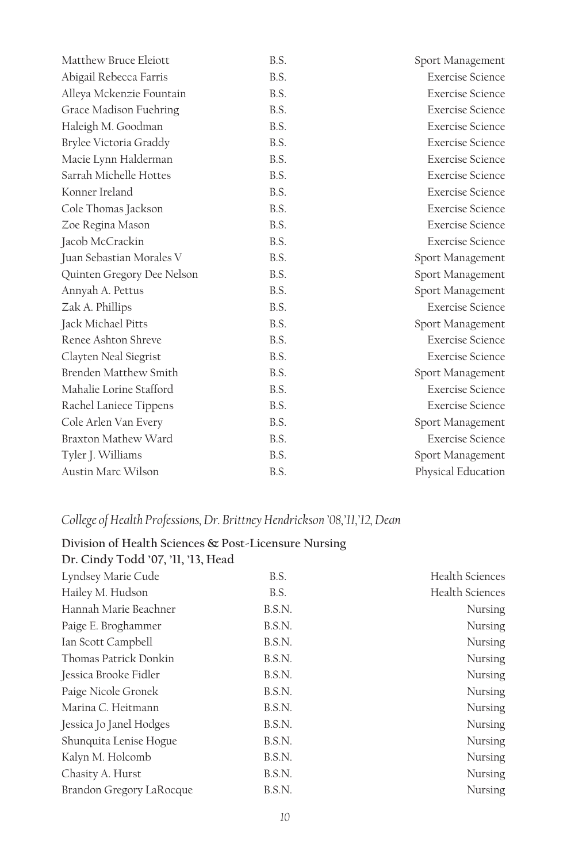| Matthew Bruce Eleiott      | B.S. | Sport Management        |
|----------------------------|------|-------------------------|
| Abigail Rebecca Farris     | B.S. | <b>Exercise Science</b> |
| Alleya Mckenzie Fountain   | B.S. | <b>Exercise Science</b> |
| Grace Madison Fuehring     | B.S. | Exercise Science        |
| Haleigh M. Goodman         | B.S. | <b>Exercise Science</b> |
| Brylee Victoria Graddy     | B.S. | Exercise Science        |
| Macie Lynn Halderman       | B.S. | <b>Exercise Science</b> |
| Sarrah Michelle Hottes     | B.S. | <b>Exercise Science</b> |
| Konner Ireland             | B.S. | <b>Exercise Science</b> |
| Cole Thomas Jackson        | B.S. | Exercise Science        |
| Zoe Regina Mason           | B.S. | Exercise Science        |
| Jacob McCrackin            | B.S. | Exercise Science        |
| Juan Sebastian Morales V   | B.S. | Sport Management        |
| Quinten Gregory Dee Nelson | B.S. | Sport Management        |
| Annyah A. Pettus           | B.S. | Sport Management        |
| Zak A. Phillips            | B.S. | <b>Exercise Science</b> |
| Jack Michael Pitts         | B.S. | Sport Management        |
| Renee Ashton Shreve        | B.S. | <b>Exercise Science</b> |
| Clayten Neal Siegrist      | B.S. | Exercise Science        |
| Brenden Matthew Smith      | B.S. | Sport Management        |
| Mahalie Lorine Stafford    | B.S. | Exercise Science        |
| Rachel Laniece Tippens     | B.S. | <b>Exercise Science</b> |
| Cole Arlen Van Every       | B.S. | Sport Management        |
| Braxton Mathew Ward        | B.S. | <b>Exercise Science</b> |
| Tyler J. Williams          | B.S. | Sport Management        |
| Austin Marc Wilson         | B.S. | Physical Education      |

## *College of Health Professions, Dr. Brittney Hendrickson '08,'11,'12, Dean*

## **Division of Health Sciences & Post-Licensure Nursing**

| B.S.   | Health Sciences        |
|--------|------------------------|
| B.S.   | <b>Health Sciences</b> |
| B.S.N. | Nursing                |
| B.S.N. | Nursing                |
| B.S.N. | Nursing                |
| B.S.N. | Nursing                |
| B.S.N. | Nursing                |
| B.S.N. | Nursing                |
| B.S.N. | Nursing                |
| B.S.N. | Nursing                |
| B.S.N. | Nursing                |
| B.S.N. | Nursing                |
| B.S.N. | Nursing                |
| B.S.N. | Nursing                |
|        |                        |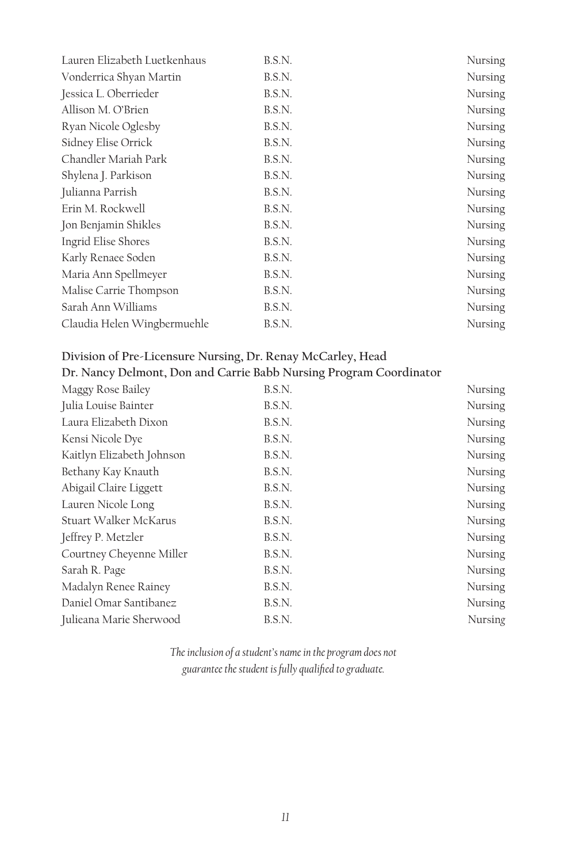| Lauren Elizabeth Luetkenhaus | B.S.N. | Nursing |
|------------------------------|--------|---------|
| Vonderrica Shyan Martin      | B.S.N. | Nursing |
| Jessica L. Oberrieder        | B.S.N. | Nursing |
| Allison M. O'Brien           | B.S.N. | Nursing |
| Ryan Nicole Oglesby          | B.S.N. | Nursing |
| Sidney Elise Orrick          | B.S.N. | Nursing |
| Chandler Mariah Park         | B.S.N. | Nursing |
| Shylena J. Parkison          | B.S.N. | Nursing |
| Julianna Parrish             | B.S.N. | Nursing |
| Erin M. Rockwell             | B.S.N. | Nursing |
| Jon Benjamin Shikles         | B.S.N. | Nursing |
| Ingrid Elise Shores          | B.S.N. | Nursing |
| Karly Renaee Soden           | B.S.N. | Nursing |
| Maria Ann Spellmeyer         | B.S.N. | Nursing |
| Malise Carrie Thompson       | B.S.N. | Nursing |
| Sarah Ann Williams           | B.S.N. | Nursing |
| Claudia Helen Wingbermuehle  | B.S.N. | Nursing |
|                              |        |         |

## **Division of Pre-Licensure Nursing, Dr. Renay McCarley, Head**

| Maggy Rose Bailey         | B.S.N. | Nursing |
|---------------------------|--------|---------|
| Julia Louise Bainter      | B.S.N. | Nursing |
| Laura Elizabeth Dixon     | B.S.N. | Nursing |
| Kensi Nicole Dye          | B.S.N. | Nursing |
| Kaitlyn Elizabeth Johnson | B.S.N. | Nursing |
| Bethany Kay Knauth        | B.S.N. | Nursing |
| Abigail Claire Liggett    | B.S.N. | Nursing |
| Lauren Nicole Long        | B.S.N. | Nursing |
| Stuart Walker McKarus     | B.S.N. | Nursing |
| Jeffrey P. Metzler        | B.S.N. | Nursing |
| Courtney Cheyenne Miller  | B.S.N. | Nursing |
| Sarah R. Page             | B.S.N. | Nursing |
| Madalyn Renee Rainey      | B.S.N. | Nursing |
| Daniel Omar Santibanez    | B.S.N. | Nursing |
| Julieana Marie Sherwood   | B.S.N. | Nursing |
|                           |        |         |

*The inclusion of a student's name in the program does not guarantee the student is fully qualified to graduate.*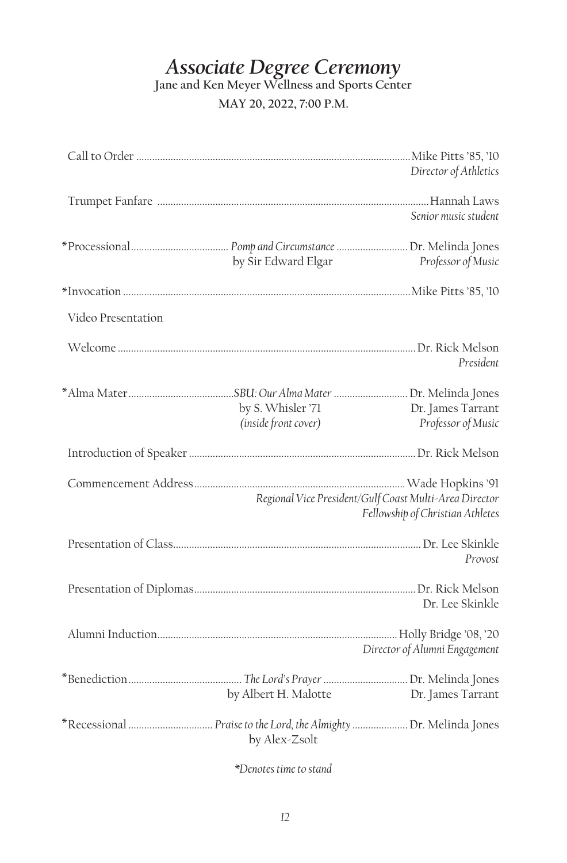## *Associate Degree Ceremony*

**Jane and Ken Meyer Wellness and Sports Center**

**MAY 20, 2022, 7:00 P.M.**

|                    |                                           | Director of Athletics                                                                      |
|--------------------|-------------------------------------------|--------------------------------------------------------------------------------------------|
|                    |                                           | Senior music student                                                                       |
|                    | by Sir Edward Elgar                       | Professor of Music                                                                         |
|                    |                                           |                                                                                            |
| Video Presentation |                                           |                                                                                            |
|                    |                                           | President                                                                                  |
|                    | by S. Whisler '71<br>(inside front cover) | Dr. James Tarrant<br>Professor of Music                                                    |
|                    |                                           |                                                                                            |
|                    |                                           | Regional Vice President/Gulf Coast Multi-Area Director<br>Fellowship of Christian Athletes |
|                    |                                           | Provost                                                                                    |
|                    |                                           | Dr. Lee Skinkle                                                                            |
|                    |                                           | Director of Alumni Engagement                                                              |
|                    | by Albert H. Malotte                      | Dr. James Tarrant                                                                          |
|                    | by Alex-Zsolt                             |                                                                                            |

*\*Denotes time to stand*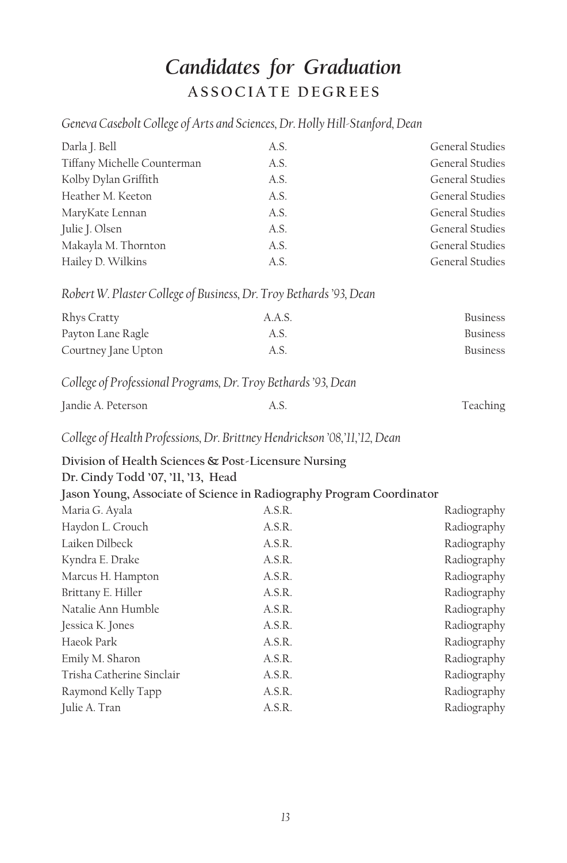# *Candidates for Graduation* **ASSOCIATE DEGREES**

*Geneva Casebolt College of Arts and Sciences, Dr. Holly Hill-Stanford, Dean*

| Darla J. Bell                                                             | A.S.   | General Studies        |
|---------------------------------------------------------------------------|--------|------------------------|
| Tiffany Michelle Counterman                                               | A.S.   | <b>General Studies</b> |
| Kolby Dylan Griffith                                                      | A.S.   | <b>General Studies</b> |
| Heather M. Keeton                                                         | A.S.   | <b>General Studies</b> |
| MaryKate Lennan                                                           | A.S.   | <b>General Studies</b> |
| Julie J. Olsen                                                            | A.S.   | General Studies        |
| Makayla M. Thornton                                                       | A.S.   | <b>General Studies</b> |
| Hailey D. Wilkins                                                         | A.S.   | General Studies        |
| Robert W. Plaster College of Business, Dr. Troy Bethards '93, Dean        |        |                        |
| Rhys Cratty                                                               | A.A.S. | <b>Business</b>        |
| Payton Lane Ragle                                                         | A.S.   | <b>Business</b>        |
| Courtney Jane Upton                                                       | A.S.   | <b>Business</b>        |
| College of Professional Programs, Dr. Troy Bethards '93, Dean             |        |                        |
| Jandie A. Peterson                                                        | A.S.   | Teaching               |
| College of Health Professions, Dr. Brittney Hendrickson '08,'11,'12, Dean |        |                        |
| Division of Health Sciences & Post-Licensure Nursing                      |        |                        |
| Dr. Cindy Todd '07, '11, '13, Head                                        |        |                        |
| Jason Young, Associate of Science in Radiography Program Coordinator      |        |                        |
| Maria G. Ayala                                                            | A.S.R. | Radiography            |
| Haydon L. Crouch                                                          | A.S.R. | Radiography            |
| Laiken Dilbeck                                                            | A.S.R. | Radiography            |
| Kyndra E. Drake                                                           | A.S.R. | Radiography            |
| Marcus H. Hampton                                                         | A.S.R. | Radiography            |
| Brittany E. Hiller                                                        | A.S.R. | Radiography            |
| Natalie Ann Humble                                                        | A.S.R. | Radiography            |
| Jessica K. Jones                                                          | A.S.R. | Radiography            |
| Haeok Park                                                                | A.S.R. | Radiography            |
| Emily M. Sharon                                                           | A.S.R. | Radiography            |
| Trisha Catherine Sinclair                                                 | A.S.R. | Radiography            |
| Raymond Kelly Tapp                                                        | A.S.R. | Radiography            |
| Julie A. Tran                                                             | A.S.R. | Radiography            |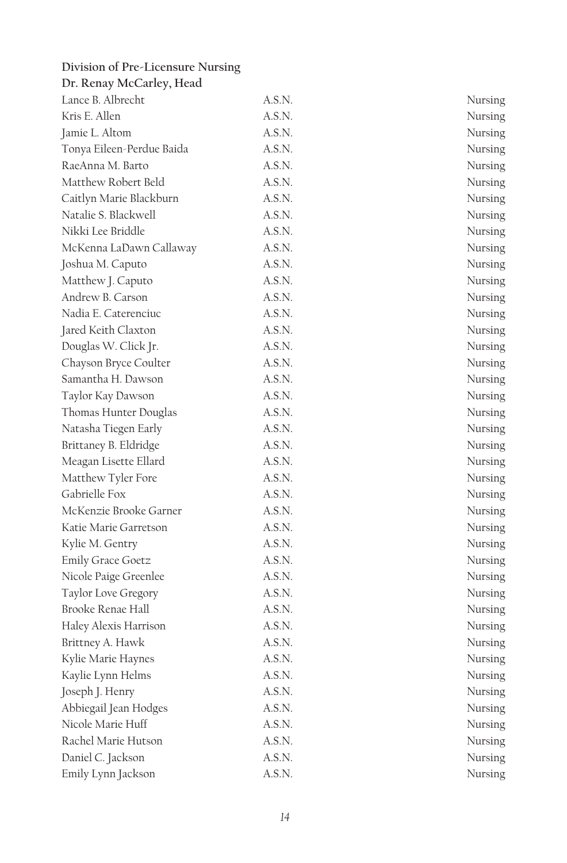| Division of Pre-Licensure Nursing |        |         |
|-----------------------------------|--------|---------|
| Dr. Renay McCarley, Head          |        |         |
| Lance B. Albrecht                 | A.S.N. | Nursing |
| Kris E. Allen                     | A.S.N. | Nursing |
| Jamie L. Altom                    | A.S.N. | Nursing |
| Tonya Eileen-Perdue Baida         | A.S.N. | Nursing |
| RaeAnna M. Barto                  | A.S.N. | Nursing |
| Matthew Robert Beld               | A.S.N. | Nursing |
| Caitlyn Marie Blackburn           | A.S.N. | Nursing |
| Natalie S. Blackwell              | A.S.N. | Nursing |
| Nikki Lee Briddle                 | A.S.N. | Nursing |
| McKenna LaDawn Callaway           | A.S.N. | Nursing |
| Joshua M. Caputo                  | A.S.N. | Nursing |
| Matthew J. Caputo                 | A.S.N. | Nursing |
| Andrew B. Carson                  | A.S.N. | Nursing |
| Nadia E. Caterenciuc              | A.S.N. | Nursing |
| Jared Keith Claxton               | A.S.N. | Nursing |
| Douglas W. Click Jr.              | A.S.N. | Nursing |
| Chayson Bryce Coulter             | A.S.N. | Nursing |
| Samantha H. Dawson                | A.S.N. | Nursing |
| Taylor Kay Dawson                 | A.S.N. | Nursing |
| Thomas Hunter Douglas             | A.S.N. | Nursing |
| Natasha Tiegen Early              | A.S.N. | Nursing |
| Brittaney B. Eldridge             | A.S.N. | Nursing |
| Meagan Lisette Ellard             | A.S.N. | Nursing |
| Matthew Tyler Fore                | A.S.N. | Nursing |
| Gabrielle Fox                     | A.S.N. | Nursing |
| McKenzie Brooke Garner            | A.S.N. | Nursing |
| Katie Marie Garretson             | A.S.N. | Nursing |
| Kylie M. Gentry                   | A.S.N. | Nursing |
| <b>Emily Grace Goetz</b>          | A.S.N. | Nursing |
| Nicole Paige Greenlee             | A.S.N. | Nursing |
| Taylor Love Gregory               | A.S.N. | Nursing |
| Brooke Renae Hall                 | A.S.N. | Nursing |
| Haley Alexis Harrison             | A.S.N. | Nursing |
| Brittney A. Hawk                  | A.S.N. | Nursing |
| Kylie Marie Haynes                | A.S.N. | Nursing |
| Kaylie Lynn Helms                 | A.S.N. | Nursing |
| Joseph J. Henry                   | A.S.N. | Nursing |
| Abbiegail Jean Hodges             | A.S.N. | Nursing |
| Nicole Marie Huff                 | A.S.N. | Nursing |
| Rachel Marie Hutson               | A.S.N. | Nursing |
| Daniel C. Jackson                 | A.S.N. | Nursing |
| Emily Lynn Jackson                | A.S.N. | Nursing |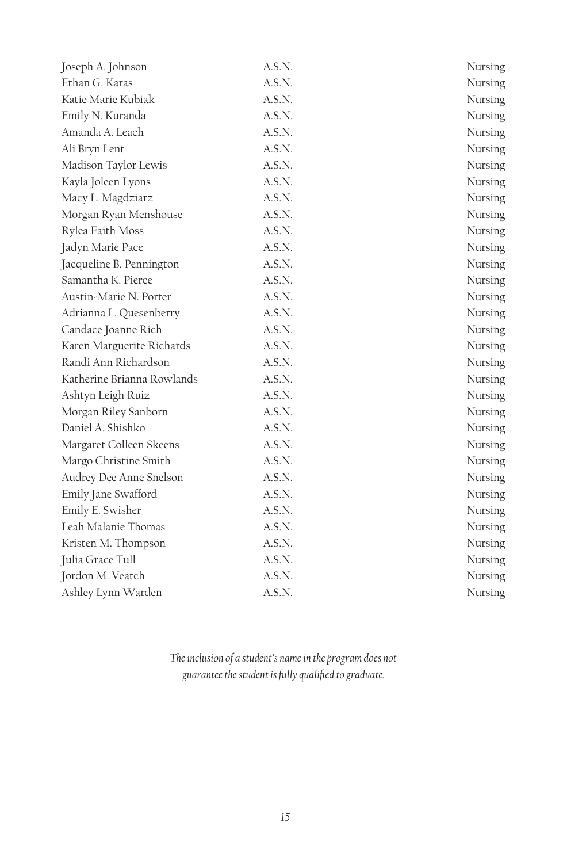| Joseph A. Johnson          | A.S.N. | Nursing |
|----------------------------|--------|---------|
| Ethan G. Karas             | A.S.N. | Nursing |
| Katie Marie Kubiak         | A.S.N. | Nursing |
| Emily N. Kuranda           | A.S.N. | Nursing |
| Amanda A. Leach            | A.S.N. | Nursing |
| Ali Bryn Lent              | A.S.N. | Nursing |
| Madison Taylor Lewis       | A.S.N. | Nursing |
| Kayla Joleen Lyons         | A.S.N. | Nursing |
| Macy L. Magdziarz          | A.S.N. | Nursing |
| Morgan Ryan Menshouse      | A.S.N. | Nursing |
| Rylea Faith Moss           | A.S.N. | Nursing |
| Jadyn Marie Pace           | A.S.N. | Nursing |
| Jacqueline B. Pennington   | A.S.N. | Nursing |
| Samantha K. Pierce         | A.S.N. | Nursing |
| Austin-Marie N. Porter     | A.S.N. | Nursing |
| Adrianna L. Quesenberry    | A.S.N. | Nursing |
| Candace Joanne Rich        | A.S.N. | Nursing |
| Karen Marguerite Richards  | A.S.N. | Nursing |
| Randi Ann Richardson       | A.S.N. | Nursing |
| Katherine Brianna Rowlands | A.S.N. | Nursing |
| Ashtyn Leigh Ruiz          | A.S.N. | Nursing |
| Morgan Riley Sanborn       | A.S.N. | Nursing |
| Daniel A. Shishko          | A.S.N. | Nursing |
| Margaret Colleen Skeens    | A.S.N. | Nursing |
| Margo Christine Smith      | A.S.N. | Nursing |
| Audrey Dee Anne Snelson    | A.S.N. | Nursing |
| Emily Jane Swafford        | A.S.N. | Nursing |
| Emily E. Swisher           | A.S.N. | Nursing |
| Leah Malanie Thomas        | A.S.N. | Nursing |
| Kristen M. Thompson        | A.S.N. | Nursing |
| Julia Grace Tull           | A.S.N. | Nursing |
| Jordon M. Veatch           | A.S.N. | Nursing |
| Ashley Lynn Warden         | A.S.N. | Nursing |

*The inclusion of a student's name in the program does not guarantee the student is fully qualified to graduate.*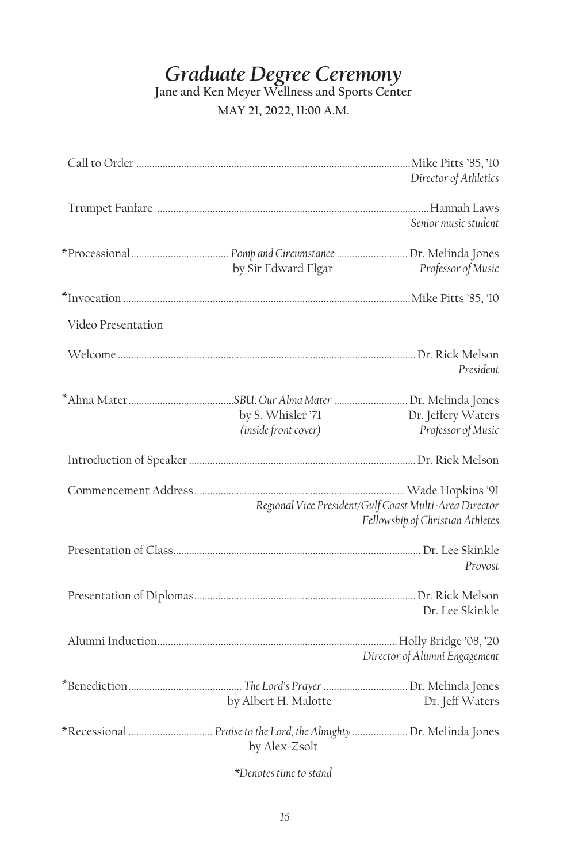# *Graduate Degree Ceremony*

**Jane and Ken Meyer Wellness and Sports Center**

### **MAY 21, 2022, 11:00 A.M.**

|                    |                                           | Director of Athletics                                                                      |
|--------------------|-------------------------------------------|--------------------------------------------------------------------------------------------|
|                    |                                           | Senior music student                                                                       |
|                    | by Sir Edward Elgar                       | Professor of Music                                                                         |
|                    |                                           |                                                                                            |
| Video Presentation |                                           |                                                                                            |
|                    |                                           | President                                                                                  |
|                    | by S. Whisler '71<br>(inside front cover) | Dr. Jeffery Waters<br>Professor of Music                                                   |
|                    |                                           |                                                                                            |
|                    |                                           | Regional Vice President/Gulf Coast Multi-Area Director<br>Fellowship of Christian Athletes |
|                    |                                           | Provost                                                                                    |
|                    |                                           | Dr. Lee Skinkle                                                                            |
|                    |                                           | Director of Alumni Engagement                                                              |
|                    | by Albert H. Malotte                      | Dr. Jeff Waters                                                                            |
|                    | by Alex-Zsolt                             |                                                                                            |

*\*Denotes time to stand*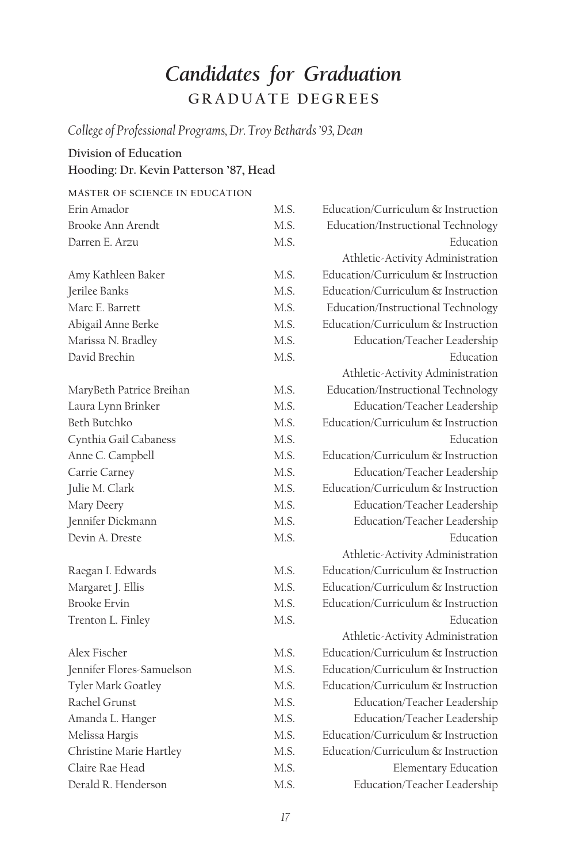# *Candidates for Graduation* **GRADUATE DEGREES**

*College of Professional Programs, Dr. Troy Bethards '93, Dean*

## **Division of Education Hooding: Dr. Kevin Patterson '87, Head**

| MASTER OF SCIENCE IN EDUCATION |      |                                    |
|--------------------------------|------|------------------------------------|
| Erin Amador                    | M.S. | Education/Curriculum & Instruction |
| Brooke Ann Arendt              | MS.  | Education/Instructional Technology |
| Darren E. Arzu                 | M.S. | Education                          |
|                                |      | Athletic-Activity Administration   |
| Amy Kathleen Baker             | MS.  | Education/Curriculum & Instruction |
| Jerilee Banks                  | MS.  | Education/Curriculum & Instruction |
| Marc E. Barrett                | MS.  | Education/Instructional Technology |
| Abigail Anne Berke             | MS.  | Education/Curriculum & Instruction |
| Marissa N. Bradley             | MS.  | Education/Teacher Leadership       |
| David Brechin                  | MS.  | Education                          |
|                                |      | Athletic-Activity Administration   |
| MaryBeth Patrice Breihan       | MS.  | Education/Instructional Technology |
| Laura Lynn Brinker             | MS   | Education/Teacher Leadership       |
| Beth Butchko                   | MS.  | Education/Curriculum & Instruction |
| Cynthia Gail Cabaness          | MS.  | Education                          |
| Anne C. Campbell               | MS.  | Education/Curriculum & Instruction |
| Carrie Carney                  | MS.  | Education/Teacher Leadership       |
| Julie M. Clark                 | M.S. | Education/Curriculum & Instruction |
| Mary Deery                     | M.S. | Education/Teacher Leadership       |
| Jennifer Dickmann              | M.S. | Education/Teacher Leadership       |
| Devin A. Dreste                | MS.  | Education                          |
|                                |      | Athletic-Activity Administration   |
| Raegan I. Edwards              | M.S. | Education/Curriculum & Instruction |
| Margaret J. Ellis              | M.S. | Education/Curriculum & Instruction |
| <b>Brooke Ervin</b>            | MS.  | Education/Curriculum & Instruction |
| Trenton L. Finley              | MS.  | <b>Education</b>                   |
|                                |      | Athletic-Activity Administration   |
| Alex Fischer                   | MS.  | Education/Curriculum & Instruction |
| Jennifer Flores-Samuelson      | MS   | Education/Curriculum & Instruction |
| Tyler Mark Goatley             | MS.  | Education/Curriculum & Instruction |
| Rachel Grunst                  | MS.  | Education/Teacher Leadership       |
| Amanda L. Hanger               | M.S. | Education/Teacher Leadership       |
| Melissa Hargis                 | M.S. | Education/Curriculum & Instruction |
| Christine Marie Hartley        | M.S. | Education/Curriculum & Instruction |
| Claire Rae Head                | M.S. | <b>Elementary Education</b>        |
| Derald R. Henderson            | M.S. | Education/Teacher Leadership       |
|                                |      |                                    |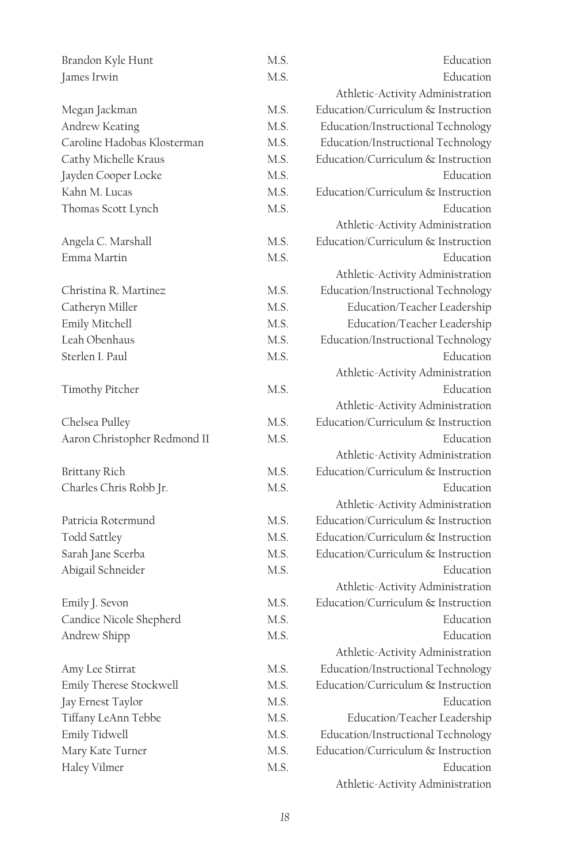| Brandon Kyle Hunt            | M.S. | Education                          |
|------------------------------|------|------------------------------------|
| James Irwin                  | M.S. | Education                          |
|                              |      | Athletic-Activity Administration   |
| Megan Jackman                | M.S. | Education/Curriculum & Instruction |
| Andrew Keating               | M.S. | Education/Instructional Technology |
| Caroline Hadobas Klosterman  | M.S. | Education/Instructional Technology |
| Cathy Michelle Kraus         | M.S. | Education/Curriculum & Instruction |
| Jayden Cooper Locke          | M.S. | Education                          |
| Kahn M. Lucas                | M.S. | Education/Curriculum & Instruction |
| Thomas Scott Lynch           | M.S. | Education                          |
|                              |      | Athletic-Activity Administration   |
| Angela C. Marshall           | M.S. | Education/Curriculum & Instruction |
| Emma Martin                  | M.S. | Education                          |
|                              |      | Athletic-Activity Administration   |
| Christina R. Martinez        | M.S. | Education/Instructional Technology |
| Catheryn Miller              | M.S. | Education/Teacher Leadership       |
| Emily Mitchell               | M.S. | Education/Teacher Leadership       |
| Leah Obenhaus                | M.S. | Education/Instructional Technology |
| Sterlen I. Paul              | M.S. | Education                          |
|                              |      | Athletic-Activity Administration   |
| Timothy Pitcher              | M.S. | Education                          |
|                              |      | Athletic-Activity Administration   |
| Chelsea Pulley               | M.S. | Education/Curriculum & Instruction |
| Aaron Christopher Redmond II | M.S. | Education                          |
|                              |      | Athletic-Activity Administration   |
| Brittany Rich                | M.S. | Education/Curriculum & Instruction |
| Charles Chris Robb Jr.       | M.S. | Education                          |
|                              |      | Athletic-Activity Administration   |
| Patricia Rotermund           | M.S. | Education/Curriculum & Instruction |
| Todd Sattley                 | M.S. | Education/Curriculum & Instruction |
| Sarah Jane Scerba            | M.S. | Education/Curriculum & Instruction |
| Abigail Schneider            | M.S. | Education                          |
|                              |      | Athletic-Activity Administration   |
| Emily J. Sevon               | M.S. | Education/Curriculum & Instruction |
| Candice Nicole Shepherd      | M.S. | Education                          |
| Andrew Shipp                 | M.S. | Education                          |
|                              |      | Athletic-Activity Administration   |
| Amy Lee Stirrat              | M.S. | Education/Instructional Technology |
| Emily Therese Stockwell      | M.S. | Education/Curriculum & Instruction |
| Jay Ernest Taylor            | M.S. | Education                          |
| Tiffany LeAnn Tebbe          | M.S. | Education/Teacher Leadership       |
| Emily Tidwell                | M.S. | Education/Instructional Technology |
| Mary Kate Turner             | M.S. | Education/Curriculum & Instruction |
| Haley Vilmer                 | M.S. | Education                          |
|                              |      | Athletic-Activity Administration   |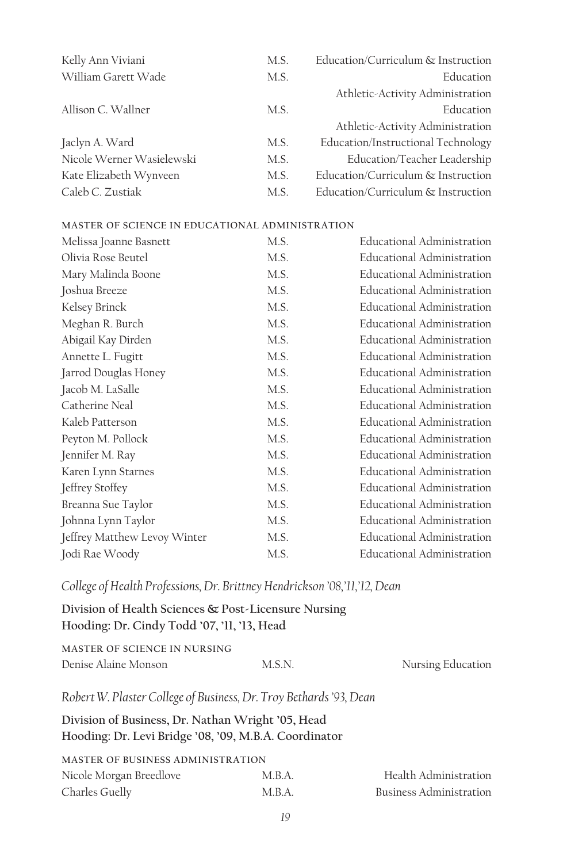| Kelly Ann Viviani         | M.S. | Education/Curriculum & Instruction |
|---------------------------|------|------------------------------------|
| William Garett Wade       | M.S. | Education                          |
|                           |      | Athletic-Activity Administration   |
| Allison C. Wallner        | M.S. | Education                          |
|                           |      | Athletic-Activity Administration   |
| Jaclyn A. Ward            | M.S. | Education/Instructional Technology |
| Nicole Werner Wasielewski | M.S. | Education/Teacher Leadership       |
| Kate Elizabeth Wynveen    | M.S. | Education/Curriculum & Instruction |
| Caleb C. Zustiak          | M.S. | Education/Curriculum & Instruction |

| Melissa Joanne Basnett       | M.S. | Educational Administration        |
|------------------------------|------|-----------------------------------|
| Olivia Rose Beutel           | M.S. | <b>Educational Administration</b> |
| Mary Malinda Boone           | M.S. | <b>Educational Administration</b> |
| Joshua Breeze                | M.S. | Educational Administration        |
| Kelsey Brinck                | M.S. | Educational Administration        |
| Meghan R. Burch              | M.S. | Educational Administration        |
| Abigail Kay Dirden           | M.S. | Educational Administration        |
| Annette L. Fugitt            | M.S. | Educational Administration        |
| Jarrod Douglas Honey         | M.S. | Educational Administration        |
| Jacob M. LaSalle             | M.S. | Educational Administration        |
| Catherine Neal               | M.S. | Educational Administration        |
| Kaleb Patterson              | M.S. | Educational Administration        |
| Peyton M. Pollock            | M.S. | Educational Administration        |
| Jennifer M. Ray              | M.S. | <b>Educational Administration</b> |
| Karen Lynn Starnes           | M.S. | Educational Administration        |
| Jeffrey Stoffey              | M.S. | Educational Administration        |
| Breanna Sue Taylor           | M.S. | Educational Administration        |
| Johnna Lynn Taylor           | M.S. | <b>Educational Administration</b> |
| Jeffrey Matthew Levoy Winter | M.S. | Educational Administration        |
| Jodi Rae Woody               | M.S. | <b>Educational Administration</b> |

*College of Health Professions, Dr. Brittney Hendrickson '08,'11,'12, Dean*

**Division of Health Sciences & Post-Licensure Nursing Hooding: Dr. Cindy Todd '07, '11, '13, Head**

| MASTER OF SCIENCE IN NURSING |        |                   |
|------------------------------|--------|-------------------|
| Denise Alaine Monson         | M.S.N. | Nursing Education |

*Robert W. Plaster College of Business, Dr. Troy Bethards '93, Dean*

**Division of Business, Dr. Nathan Wright '05, Head Hooding: Dr. Levi Bridge '08, '09, M.B.A. Coordinator**

| <b>MASTER OF BUSINESS ADMINISTRATION</b> |        |                         |
|------------------------------------------|--------|-------------------------|
| Nicole Morgan Breedlove                  | M.B.A. | Health Administration   |
| Charles Guelly                           | M.B.A. | Business Administration |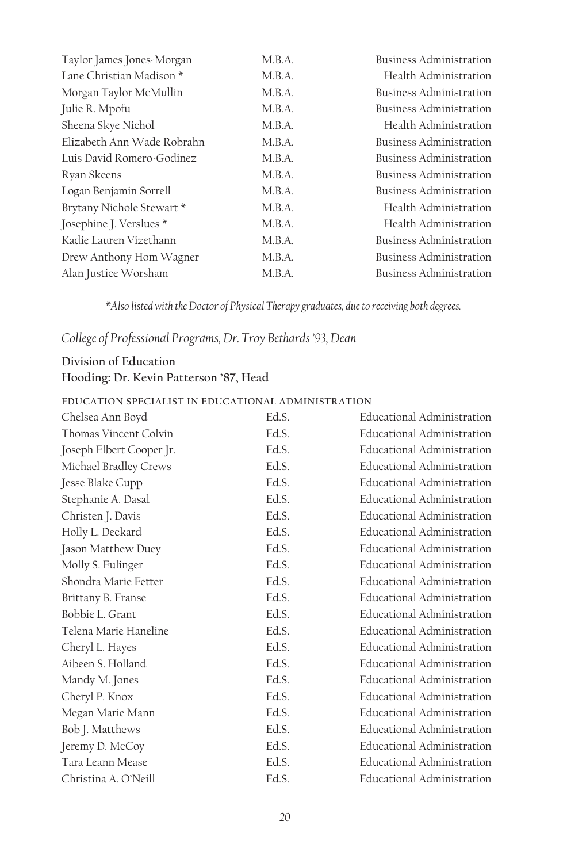| Taylor James Jones-Morgan  | M.B.A. | <b>Business Administration</b> |
|----------------------------|--------|--------------------------------|
| Lane Christian Madison *   | M.B.A. | Health Administration          |
| Morgan Taylor McMullin     | M.B.A. | <b>Business Administration</b> |
| Julie R. Mpofu             | M.B.A. | <b>Business Administration</b> |
| Sheena Skye Nichol         | M.B.A. | Health Administration          |
| Elizabeth Ann Wade Robrahn | M.B.A. | <b>Business Administration</b> |
| Luis David Romero-Godinez  | M.B.A. | <b>Business Administration</b> |
| Ryan Skeens                | M.B.A. | Business Administration        |
| Logan Benjamin Sorrell     | M.B.A. | <b>Business Administration</b> |
| Brytany Nichole Stewart *  | M.B.A. | Health Administration          |
| Josephine J. Verslues *    | M.B.A. | Health Administration          |
| Kadie Lauren Vizethann     | M.B.A. | <b>Business Administration</b> |
| Drew Anthony Hom Wagner    | M.B.A. | <b>Business Administration</b> |
| Alan Justice Worsham       | M.B.A. | <b>Business Administration</b> |

*\*Also listed with the Doctor of Physical Therapy graduates, due to receiving both degrees.*

*College of Professional Programs, Dr. Troy Bethards '93, Dean*

## **Division of Education Hooding: Dr. Kevin Patterson '87, Head**

#### **EDUCATION SPECIALIST IN EDUCATIONAL ADMINISTRATION**

| Chelsea Ann Boyd         | Ed.S. | <b>Educational Administration</b> |
|--------------------------|-------|-----------------------------------|
| Thomas Vincent Colvin    | Ed.S. | <b>Educational Administration</b> |
| Joseph Elbert Cooper Jr. | Ed.S. | Educational Administration        |
| Michael Bradley Crews    | Ed.S. | Educational Administration        |
| Jesse Blake Cupp         | Ed.S. | Educational Administration        |
| Stephanie A. Dasal       | Ed.S. | Educational Administration        |
| Christen J. Davis        | Ed.S. | Educational Administration        |
| Holly L. Deckard         | Ed.S. | <b>Educational Administration</b> |
| Jason Matthew Duey       | Ed.S. | <b>Educational Administration</b> |
| Molly S. Eulinger        | Ed.S. | <b>Educational Administration</b> |
| Shondra Marie Fetter     | Ed.S. | Educational Administration        |
| Brittany B. Franse       | Ed.S. | Educational Administration        |
| Bobbie L. Grant          | Ed.S. | <b>Educational Administration</b> |
| Telena Marie Haneline    | Ed.S. | Educational Administration        |
| Cheryl L. Hayes          | Ed.S. | Educational Administration        |
| Aibeen S. Holland        | Ed.S. | Educational Administration        |
| Mandy M. Jones           | Ed.S. | Educational Administration        |
| Cheryl P. Knox           | Ed.S. | <b>Educational Administration</b> |
| Megan Marie Mann         | Ed.S. | <b>Educational Administration</b> |
| Bob J. Matthews          | Ed.S. | <b>Educational Administration</b> |
| Jeremy D. McCoy          | Ed.S. | <b>Educational Administration</b> |
| Tara Leann Mease         | Ed.S. | <b>Educational Administration</b> |
| Christina A. O'Neill     | Ed.S. | <b>Educational Administration</b> |
|                          |       |                                   |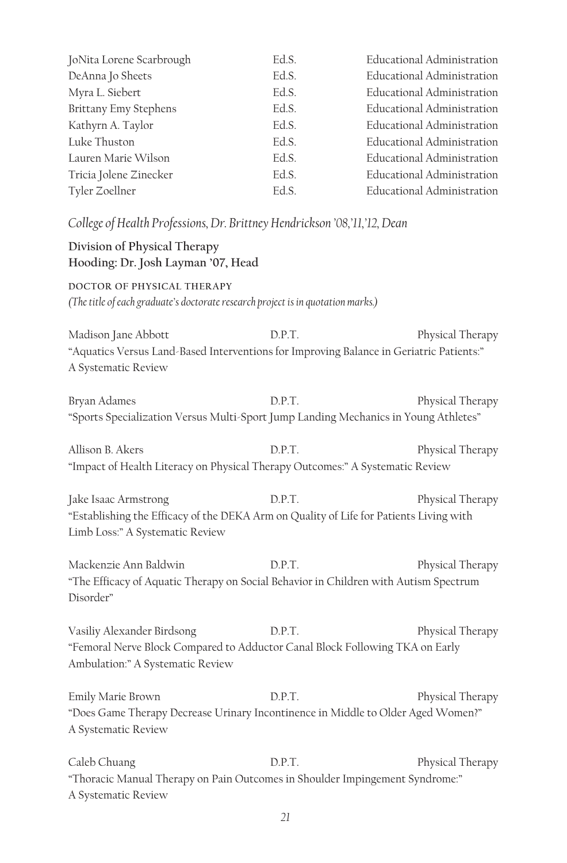| JoNita Lorene Scarbrough | Ed.S. | Educational Administration        |
|--------------------------|-------|-----------------------------------|
| DeAnna Jo Sheets         | Ed.S. | Educational Administration        |
| Myra L. Siebert          | Ed.S. | <b>Educational Administration</b> |
| Brittany Emy Stephens    | Ed.S. | Educational Administration        |
| Kathyrn A. Taylor        | Ed.S. | Educational Administration        |
| Luke Thuston             | Ed.S. | Educational Administration        |
| Lauren Marie Wilson      | Ed.S. | Educational Administration        |
| Tricia Jolene Zinecker   | Ed.S. | Educational Administration        |
| Tyler Zoellner           | Ed.S. | Educational Administration        |
|                          |       |                                   |

*College of Health Professions, Dr. Brittney Hendrickson '08,'11,'12, Dean*

#### **Division of Physical Therapy Hooding: Dr. Josh Layman '07, Head**

**DOCTOR OF PHYSICAL THERAPY** *(The title of each graduate's doctorate research project is in quotation marks.)*

Madison Jane Abbott D.P.T. Physical Therapy "Aquatics Versus Land-Based Interventions for Improving Balance in Geriatric Patients:" A Systematic Review

Bryan Adames D.P.T. Physical Therapy "Sports Specialization Versus Multi-Sport Jump Landing Mechanics in Young Athletes"

Allison B. Akers **D.P.T.** Physical Therapy "Impact of Health Literacy on Physical Therapy Outcomes:" A Systematic Review

Jake Isaac Armstrong D.P.T. Physical Therapy "Establishing the Efficacy of the DEKA Arm on Quality of Life for Patients Living with Limb Loss:" A Systematic Review

Mackenzie Ann Baldwin D.P.T. Physical Therapy "The Efficacy of Aquatic Therapy on Social Behavior in Children with Autism Spectrum Disorder"

Vasiliy Alexander Birdsong D.P.T. Physical Therapy "Femoral Nerve Block Compared to Adductor Canal Block Following TKA on Early Ambulation:" A Systematic Review

Emily Marie Brown D.P.T. Physical Therapy "Does Game Therapy Decrease Urinary Incontinence in Middle to Older Aged Women?" A Systematic Review

Caleb Chuang  $D.P.T.$  Physical Therapy "Thoracic Manual Therapy on Pain Outcomes in Shoulder Impingement Syndrome:" A Systematic Review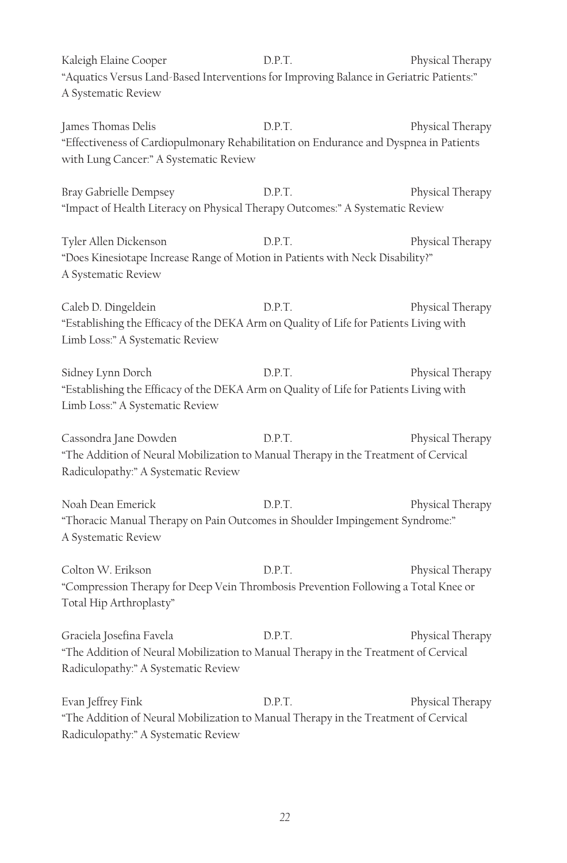Kaleigh Elaine Cooper D.P.T. Physical Therapy "Aquatics Versus Land-Based Interventions for Improving Balance in Geriatric Patients:" A Systematic Review

James Thomas Delis D.P.T. Physical Therapy "Effectiveness of Cardiopulmonary Rehabilitation on Endurance and Dyspnea in Patients with Lung Cancer:" A Systematic Review

Bray Gabrielle Dempsey D.P.T. Physical Therapy "Impact of Health Literacy on Physical Therapy Outcomes:" A Systematic Review

Tyler Allen Dickenson D.P.T. Physical Therapy "Does Kinesiotape Increase Range of Motion in Patients with Neck Disability?" A Systematic Review

Caleb D. Dingeldein D.P.T. Physical Therapy "Establishing the Efficacy of the DEKA Arm on Quality of Life for Patients Living with Limb Loss:" A Systematic Review

Sidney Lynn Dorch D.P.T. Physical Therapy "Establishing the Efficacy of the DEKA Arm on Quality of Life for Patients Living with Limb Loss:" A Systematic Review

Cassondra Jane Dowden D.P.T. Physical Therapy "The Addition of Neural Mobilization to Manual Therapy in the Treatment of Cervical Radiculopathy:" A Systematic Review

Noah Dean Emerick D.P.T. Physical Therapy "Thoracic Manual Therapy on Pain Outcomes in Shoulder Impingement Syndrome:" A Systematic Review

Colton W. Erikson **D.P.T.** Physical Therapy "Compression Therapy for Deep Vein Thrombosis Prevention Following a Total Knee or Total Hip Arthroplasty"

Graciela Josefina Favela **Physical Therapy** D.P.T. Physical Therapy "The Addition of Neural Mobilization to Manual Therapy in the Treatment of Cervical Radiculopathy:" A Systematic Review

Evan Jeffrey Fink D.P.T. Physical Therapy "The Addition of Neural Mobilization to Manual Therapy in the Treatment of Cervical Radiculopathy:" A Systematic Review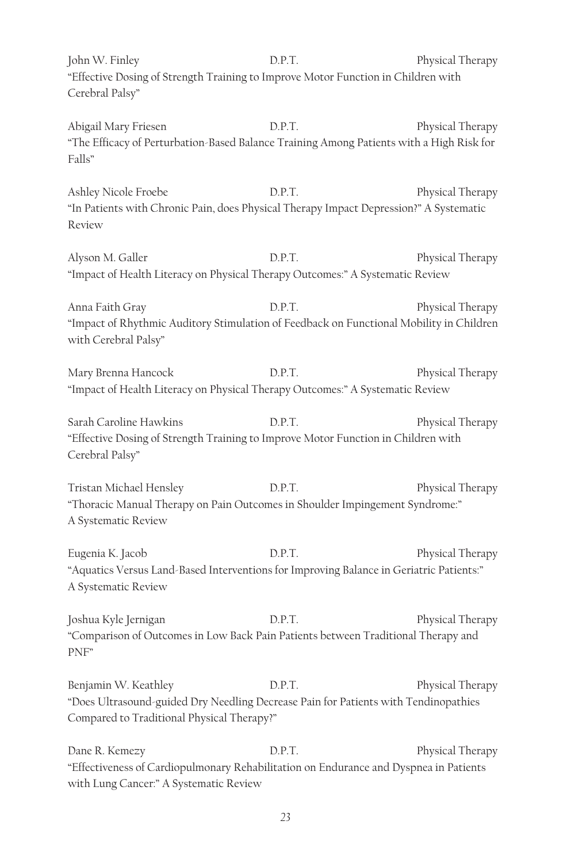John W. Finley **D.P.T.** Physical Therapy "Effective Dosing of Strength Training to Improve Motor Function in Children with Cerebral Palsy"

Abigail Mary Friesen **D.P.T.** Physical Therapy "The Efficacy of Perturbation-Based Balance Training Among Patients with a High Risk for Falls"

Ashley Nicole Froebe D.P.T. Physical Therapy "In Patients with Chronic Pain, does Physical Therapy Impact Depression?" A Systematic Review

Alyson M. Galler D.P.T. Physical Therapy "Impact of Health Literacy on Physical Therapy Outcomes:" A Systematic Review

Anna Faith Gray **D.P.T.** Physical Therapy "Impact of Rhythmic Auditory Stimulation of Feedback on Functional Mobility in Children with Cerebral Palsy"

Mary Brenna Hancock D.P.T. Physical Therapy "Impact of Health Literacy on Physical Therapy Outcomes:" A Systematic Review

Sarah Caroline Hawkins **D.P.T.** Physical Therapy "Effective Dosing of Strength Training to Improve Motor Function in Children with Cerebral Palsy"

Tristan Michael Hensley **D.P.T.** Physical Therapy "Thoracic Manual Therapy on Pain Outcomes in Shoulder Impingement Syndrome:" A Systematic Review

Eugenia K. Jacob **D.P.T.** Physical Therapy "Aquatics Versus Land-Based Interventions for Improving Balance in Geriatric Patients:" A Systematic Review

Joshua Kyle Jernigan D.P.T. Physical Therapy "Comparison of Outcomes in Low Back Pain Patients between Traditional Therapy and PNF"

Benjamin W. Keathley **D.P.T.** Physical Therapy "Does Ultrasound-guided Dry Needling Decrease Pain for Patients with Tendinopathies Compared to Traditional Physical Therapy?"

Dane R. Kemezy D.P.T. Physical Therapy "Effectiveness of Cardiopulmonary Rehabilitation on Endurance and Dyspnea in Patients with Lung Cancer:" A Systematic Review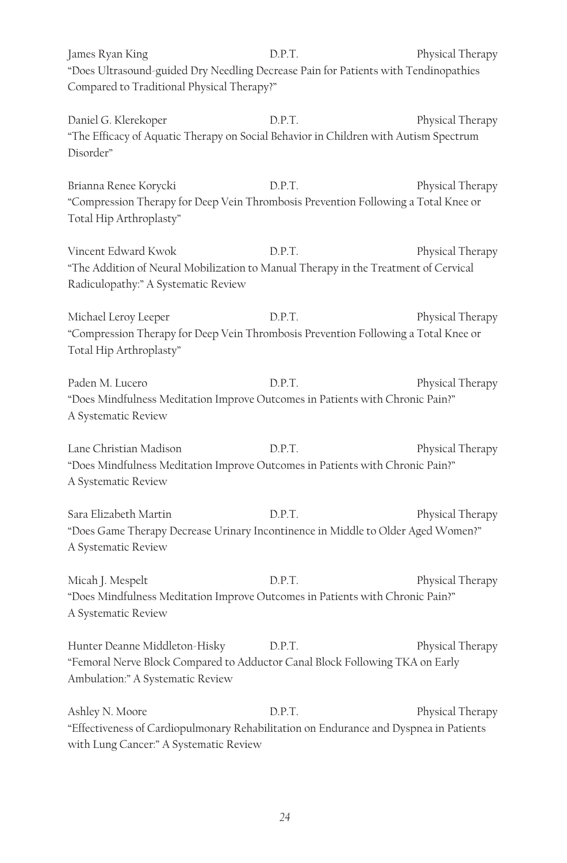James Ryan King D.P.T. Physical Therapy "Does Ultrasound-guided Dry Needling Decrease Pain for Patients with Tendinopathies Compared to Traditional Physical Therapy?"

Daniel G. Klerekoper B.P.T. Physical Therapy "The Efficacy of Aquatic Therapy on Social Behavior in Children with Autism Spectrum Disorder"

Brianna Renee Korycki N.P. D.P.T. Physical Therapy "Compression Therapy for Deep Vein Thrombosis Prevention Following a Total Knee or Total Hip Arthroplasty"

Vincent Edward Kwok D.P.T. Physical Therapy "The Addition of Neural Mobilization to Manual Therapy in the Treatment of Cervical Radiculopathy:" A Systematic Review

Michael Leroy Leeper  $D.P.T.$  Physical Therapy "Compression Therapy for Deep Vein Thrombosis Prevention Following a Total Knee or Total Hip Arthroplasty"

Paden M. Lucero **D.P.T.** Physical Therapy "Does Mindfulness Meditation Improve Outcomes in Patients with Chronic Pain?" A Systematic Review

Lane Christian Madison **D.P.T.** Physical Therapy "Does Mindfulness Meditation Improve Outcomes in Patients with Chronic Pain?" A Systematic Review

Sara Elizabeth Martin D.P.T. Physical Therapy "Does Game Therapy Decrease Urinary Incontinence in Middle to Older Aged Women?" A Systematic Review

Micah J. Mespelt **D.P.T.** Physical Therapy "Does Mindfulness Meditation Improve Outcomes in Patients with Chronic Pain?" A Systematic Review

Hunter Deanne Middleton-Hisky D.P.T. Physical Therapy "Femoral Nerve Block Compared to Adductor Canal Block Following TKA on Early Ambulation:" A Systematic Review

Ashley N. Moore **D.P.T.** Physical Therapy "Effectiveness of Cardiopulmonary Rehabilitation on Endurance and Dyspnea in Patients with Lung Cancer:" A Systematic Review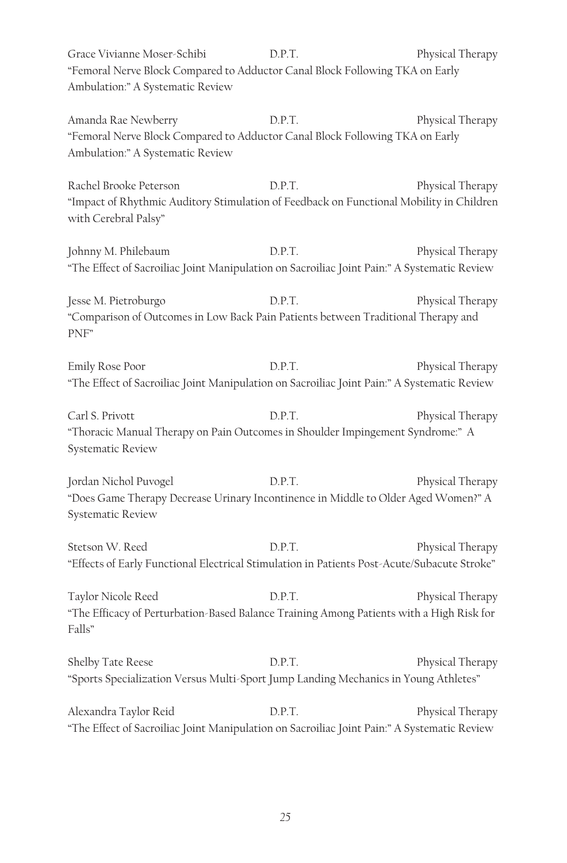Grace Vivianne Moser-Schibi D.P.T. Physical Therapy "Femoral Nerve Block Compared to Adductor Canal Block Following TKA on Early Ambulation:" A Systematic Review

Amanda Rae Newberry **D.P.T.** Physical Therapy "Femoral Nerve Block Compared to Adductor Canal Block Following TKA on Early Ambulation:" A Systematic Review

Rachel Brooke Peterson **D.P.T.** Physical Therapy "Impact of Rhythmic Auditory Stimulation of Feedback on Functional Mobility in Children with Cerebral Palsy"

Johnny M. Philebaum D.P.T. Physical Therapy "The Effect of Sacroiliac Joint Manipulation on Sacroiliac Joint Pain:" A Systematic Review

Jesse M. Pietroburgo D.P.T. Physical Therapy "Comparison of Outcomes in Low Back Pain Patients between Traditional Therapy and PNF"

Emily Rose Poor **D.P.T.** Physical Therapy "The Effect of Sacroiliac Joint Manipulation on Sacroiliac Joint Pain:" A Systematic Review

Carl S. Privott **D.P.T.** Physical Therapy "Thoracic Manual Therapy on Pain Outcomes in Shoulder Impingement Syndrome:" A Systematic Review

Jordan Nichol Puvogel D.P.T. Physical Therapy "Does Game Therapy Decrease Urinary Incontinence in Middle to Older Aged Women?" A Systematic Review

Stetson W. Reed  $D.P.T.$  Physical Therapy "Effects of Early Functional Electrical Stimulation in Patients Post-Acute/Subacute Stroke"

Taylor Nicole Reed  $D.P.T.$  Physical Therapy "The Efficacy of Perturbation-Based Balance Training Among Patients with a High Risk for Falls"

Shelby Tate Reese **D.P.T.** Physical Therapy "Sports Specialization Versus Multi-Sport Jump Landing Mechanics in Young Athletes"

Alexandra Taylor Reid  $D.P.T.$  Physical Therapy "The Effect of Sacroiliac Joint Manipulation on Sacroiliac Joint Pain:" A Systematic Review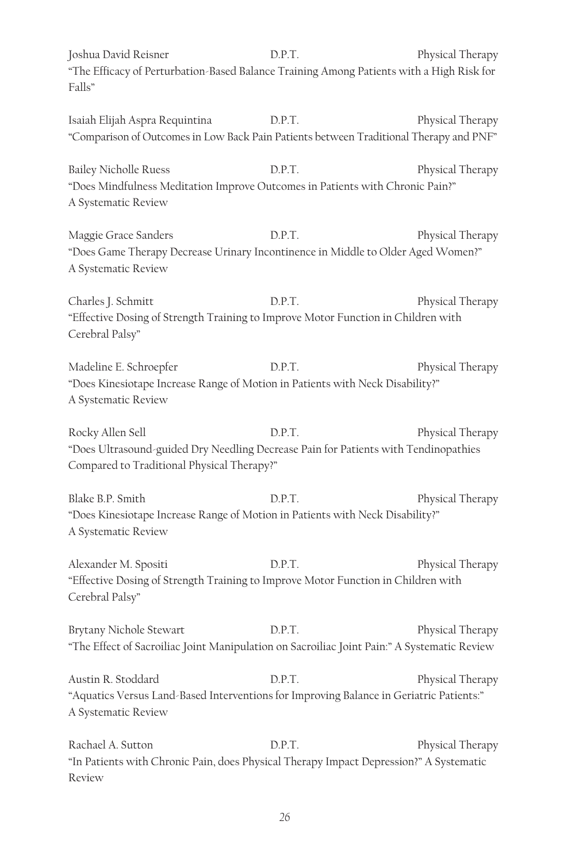Joshua David Reisner D.P.T. Physical Therapy "The Efficacy of Perturbation-Based Balance Training Among Patients with a High Risk for Falls"

Isaiah Elijah Aspra Requintina D.P.T. Physical Therapy "Comparison of Outcomes in Low Back Pain Patients between Traditional Therapy and PNF"

Bailey Nicholle Ruess **D.P.T.** Physical Therapy "Does Mindfulness Meditation Improve Outcomes in Patients with Chronic Pain?" A Systematic Review

Maggie Grace Sanders D.P.T. Physical Therapy "Does Game Therapy Decrease Urinary Incontinence in Middle to Older Aged Women?" A Systematic Review

Charles J. Schmitt D.P.T. Physical Therapy "Effective Dosing of Strength Training to Improve Motor Function in Children with Cerebral Palsy"

Madeline E. Schroepfer **D.P.T.** Physical Therapy "Does Kinesiotape Increase Range of Motion in Patients with Neck Disability?" A Systematic Review

Rocky Allen Sell **D.P.T.** Physical Therapy "Does Ultrasound-guided Dry Needling Decrease Pain for Patients with Tendinopathies Compared to Traditional Physical Therapy?"

Blake B.P. Smith D.P.T. Physical Therapy "Does Kinesiotape Increase Range of Motion in Patients with Neck Disability?" A Systematic Review

Alexander M. Spositi D.P.T. Physical Therapy "Effective Dosing of Strength Training to Improve Motor Function in Children with Cerebral Palsy"

Brytany Nichole Stewart **D.P.T.** Physical Therapy "The Effect of Sacroiliac Joint Manipulation on Sacroiliac Joint Pain:" A Systematic Review

Austin R. Stoddard D.P.T. Physical Therapy "Aquatics Versus Land-Based Interventions for Improving Balance in Geriatric Patients:" A Systematic Review

Rachael A. Sutton D.P.T. Physical Therapy "In Patients with Chronic Pain, does Physical Therapy Impact Depression?" A Systematic Review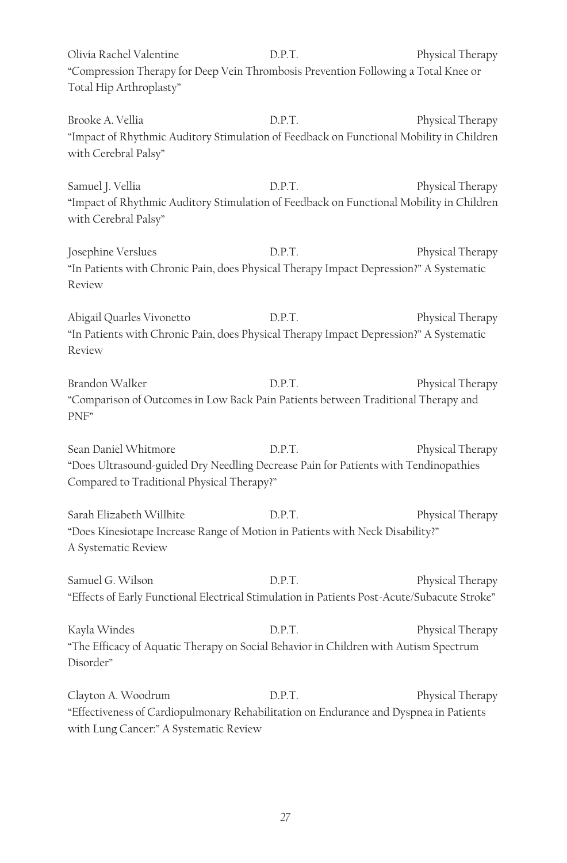Olivia Rachel Valentine **D.P.T.** Physical Therapy "Compression Therapy for Deep Vein Thrombosis Prevention Following a Total Knee or Total Hip Arthroplasty"

Brooke A. Vellia **Brooke A.** Vellia **D.P.T.** Physical Therapy "Impact of Rhythmic Auditory Stimulation of Feedback on Functional Mobility in Children with Cerebral Palsy"

Samuel J. Vellia **D.P.T.** Physical Therapy "Impact of Rhythmic Auditory Stimulation of Feedback on Functional Mobility in Children with Cerebral Palsy"

Josephine Verslues D.P.T. Physical Therapy "In Patients with Chronic Pain, does Physical Therapy Impact Depression?" A Systematic Review

Abigail Quarles Vivonetto D.P.T. Physical Therapy "In Patients with Chronic Pain, does Physical Therapy Impact Depression?" A Systematic Review

Brandon Walker **D.P.T.** Physical Therapy "Comparison of Outcomes in Low Back Pain Patients between Traditional Therapy and PNF"

Sean Daniel Whitmore D.P.T. Physical Therapy "Does Ultrasound-guided Dry Needling Decrease Pain for Patients with Tendinopathies Compared to Traditional Physical Therapy?"

Sarah Elizabeth Willhite **D.P.T.** Physical Therapy "Does Kinesiotape Increase Range of Motion in Patients with Neck Disability?" A Systematic Review

Samuel G. Wilson D.P.T. Physical Therapy "Effects of Early Functional Electrical Stimulation in Patients Post-Acute/Subacute Stroke"

Kayla Windes **Example 2.1 D.P.T.** Physical Therapy "The Efficacy of Aquatic Therapy on Social Behavior in Children with Autism Spectrum Disorder"

Clayton A. Woodrum D.P.T. Physical Therapy "Effectiveness of Cardiopulmonary Rehabilitation on Endurance and Dyspnea in Patients with Lung Cancer:" A Systematic Review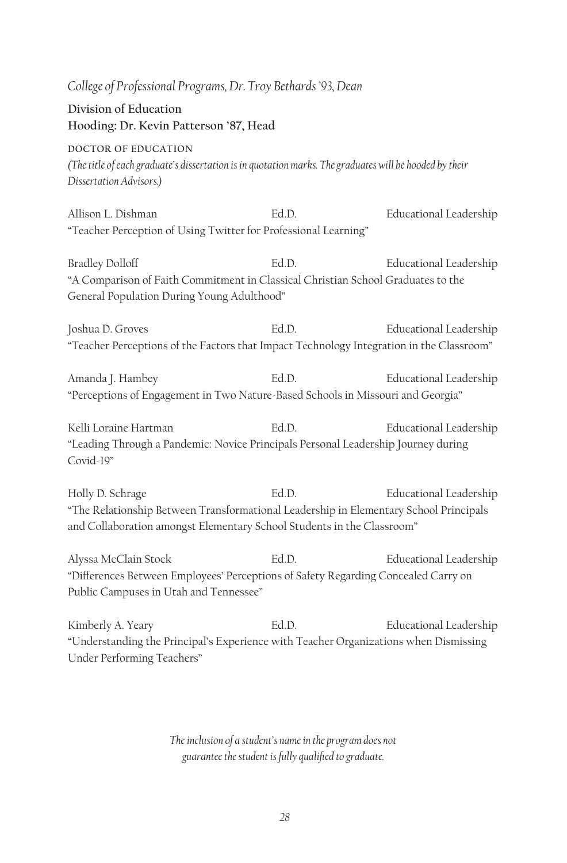*College of Professional Programs, Dr. Troy Bethards '93, Dean* **Division of Education Hooding: Dr. Kevin Patterson '87, Head DOCTOR OF EDUCATION** *(The title of each graduate's dissertation is in quotation marks. The graduates will be hooded by their Dissertation Advisors.)* Allison L. Dishman Ed.D. Educational Leadership "Teacher Perception of Using Twitter for Professional Learning" Bradley Dolloff Ed.D. Educational Leadership "A Comparison of Faith Commitment in Classical Christian School Graduates to the General Population During Young Adulthood" Joshua D. Groves Ed.D. Educational Leadership "Teacher Perceptions of the Factors that Impact Technology Integration in the Classroom" Amanda J. Hambey Ed.D. Educational Leadership "Perceptions of Engagement in Two Nature-Based Schools in Missouri and Georgia" Kelli Loraine Hartman **Ed.D.** Educational Leadership "Leading Through a Pandemic: Novice Principals Personal Leadership Journey during Covid-19" Holly D. Schrage Ed.D. Educational Leadership "The Relationship Between Transformational Leadership in Elementary School Principals and Collaboration amongst Elementary School Students in the Classroom"

Alyssa McClain Stock Ed.D. Educational Leadership "Differences Between Employees' Perceptions of Safety Regarding Concealed Carry on Public Campuses in Utah and Tennessee"

Kimberly A. Yeary **Ed.D.** Educational Leadership "Understanding the Principal's Experience with Teacher Organizations when Dismissing Under Performing Teachers"

> *The inclusion of a student's name in the program does not guarantee the student is fully qualified to graduate.*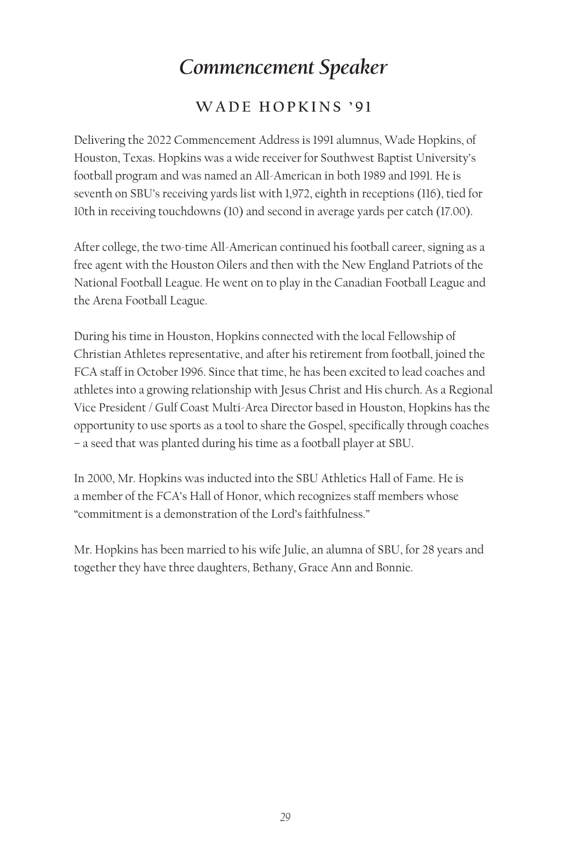# *Commencement Speaker*

## **WADE HOPKINS '91**

Delivering the 2022 Commencement Address is 1991 alumnus, Wade Hopkins, of Houston, Texas. Hopkins was a wide receiver for Southwest Baptist University's football program and was named an All-American in both 1989 and 1991. He is seventh on SBU's receiving yards list with 1,972, eighth in receptions (116), tied for 10th in receiving touchdowns (10) and second in average yards per catch (17.00).

After college, the two-time All-American continued his football career, signing as a free agent with the Houston Oilers and then with the New England Patriots of the National Football League. He went on to play in the Canadian Football League and the Arena Football League.

During his time in Houston, Hopkins connected with the local Fellowship of Christian Athletes representative, and after his retirement from football, joined the FCA staff in October 1996. Since that time, he has been excited to lead coaches and athletes into a growing relationship with Jesus Christ and His church. As a Regional Vice President / Gulf Coast Multi-Area Director based in Houston, Hopkins has the opportunity to use sports as a tool to share the Gospel, specifically through coaches – a seed that was planted during his time as a football player at SBU.

In 2000, Mr. Hopkins was inducted into the SBU Athletics Hall of Fame. He is a member of the FCA's Hall of Honor, which recognizes staff members whose "commitment is a demonstration of the Lord's faithfulness."

Mr. Hopkins has been married to his wife Julie, an alumna of SBU, for 28 years and together they have three daughters, Bethany, Grace Ann and Bonnie.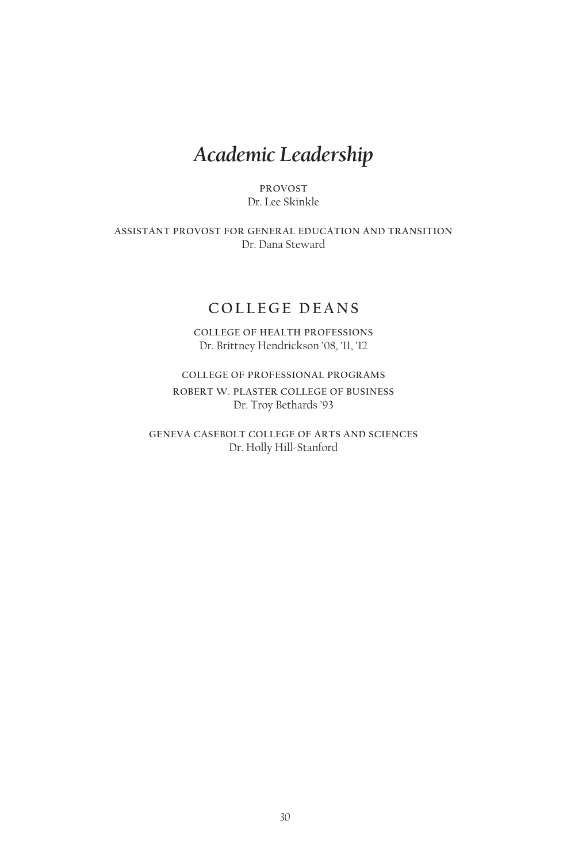## *Academic Leadership*

**PROVOST** Dr. Lee Skinkle

**ASSISTANT PROVOST FOR GENERAL EDUCATION AND TRANSITION** Dr. Dana Steward

## **COLLEGE DEANS**

**COLLEGE OF HEALTH PROFESSIONS** Dr. Brittney Hendrickson '08, '11, '12

**COLLEGE OF PROFESSIONAL PROGRAMS ROBERT W. PLASTER COLLEGE OF BUSINESS** Dr. Troy Bethards '93

**GENEVA CASEBOLT COLLEGE OF ARTS AND SCIENCES** Dr. Holly Hill-Stanford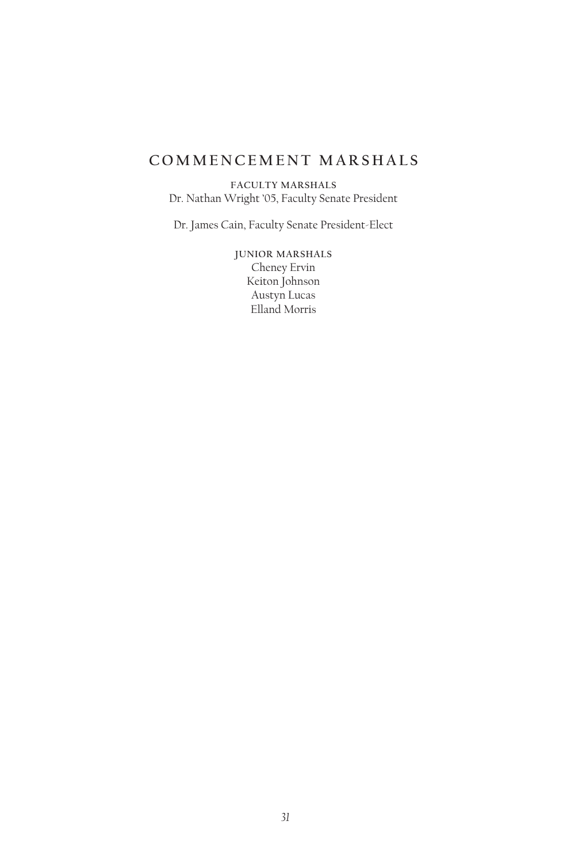## **COMMENCEMENT MARSHALS**

**FACULTY MARSHALS** Dr. Nathan Wright '05, Faculty Senate President

Dr. James Cain, Faculty Senate President-Elect

**JUNIOR MARSHALS** Cheney Ervin Keiton Johnson Austyn Lucas Elland Morris